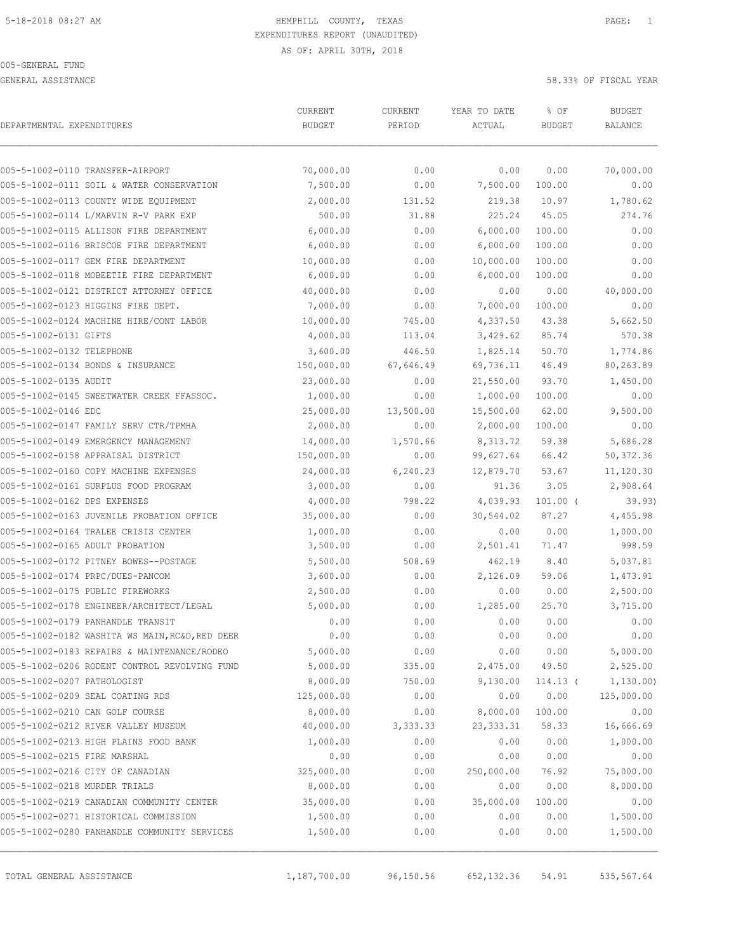GENERAL ASSISTANCE 58.33% OF FISCAL YEAR

| DEPARTMENTAL EXPENDITURES        |                                                 | CURRENT<br><b>BUDGET</b> | CURRENT<br>PERIOD | YEAR TO DATE<br>ACTUAL | % OF<br><b>BUDGET</b> | <b>BUDGET</b><br><b>BALANCE</b> |
|----------------------------------|-------------------------------------------------|--------------------------|-------------------|------------------------|-----------------------|---------------------------------|
| 005-5-1002-0110 TRANSFER-AIRPORT |                                                 | 70,000.00                | 0.00              | 0.00                   | 0.00                  | 70,000.00                       |
|                                  | 005-5-1002-0111 SOIL & WATER CONSERVATION       | 7,500.00                 | 0.00              | 7,500.00               | 100.00                | 0.00                            |
|                                  | 005-5-1002-0113 COUNTY WIDE EQUIPMENT           | 2,000.00                 | 131.52            | 219.38                 | 10.97                 | 1,780.62                        |
|                                  | 005-5-1002-0114 L/MARVIN R-V PARK EXP           | 500.00                   | 31.88             | 225.24                 | 45.05                 | 274.76                          |
|                                  | 005-5-1002-0115 ALLISON FIRE DEPARTMENT         | 6,000.00                 | 0.00              | 6,000.00               | 100.00                | 0.00                            |
|                                  | 005-5-1002-0116 BRISCOE FIRE DEPARTMENT         | 6,000.00                 | 0.00              | 6,000.00               | 100.00                | 0.00                            |
|                                  | 005-5-1002-0117 GEM FIRE DEPARTMENT             | 10,000.00                | 0.00              | 10,000.00              | 100.00                | 0.00                            |
|                                  | 005-5-1002-0118 MOBEETIE FIRE DEPARTMENT        | 6,000.00                 | 0.00              | 6,000.00               | 100.00                | 0.00                            |
|                                  | 005-5-1002-0121 DISTRICT ATTORNEY OFFICE        | 40,000.00                | 0.00              | 0.00                   | 0.00                  | 40,000.00                       |
|                                  | 005-5-1002-0123 HIGGINS FIRE DEPT.              | 7,000.00                 | 0.00              | 7,000.00               | 100.00                | 0.00                            |
|                                  | 005-5-1002-0124 MACHINE HIRE/CONT LABOR         | 10,000.00                | 745.00            | 4,337.50               | 43.38                 | 5,662.50                        |
| 005-5-1002-0131 GIFTS            |                                                 | 4,000.00                 | 113.04            | 3,429.62               | 85.74                 | 570.38                          |
| 005-5-1002-0132 TELEPHONE        |                                                 | 3,600.00                 | 446.50            | 1,825.14               | 50.70                 | 1,774.86                        |
|                                  | 005-5-1002-0134 BONDS & INSURANCE               | 150,000.00               | 67,646.49         | 69,736.11              | 46.49                 | 80,263.89                       |
| 005-5-1002-0135 AUDIT            |                                                 | 23,000.00                | 0.00              | 21,550.00              | 93.70                 | 1,450.00                        |
|                                  | 005-5-1002-0145 SWEETWATER CREEK FFASSOC.       | 1,000.00                 | 0.00              | 1,000.00               | 100.00                | 0.00                            |
| 005-5-1002-0146 EDC              |                                                 | 25,000.00                | 13,500.00         | 15,500.00              | 62.00                 | 9,500.00                        |
|                                  | 005-5-1002-0147 FAMILY SERV CTR/TPMHA           | 2,000.00                 | 0.00              | 2,000.00               | 100.00                | 0.00                            |
|                                  | 005-5-1002-0149 EMERGENCY MANAGEMENT            | 14,000.00                | 1,570.66          | 8,313.72               | 59.38                 | 5,686.28                        |
|                                  | 005-5-1002-0158 APPRAISAL DISTRICT              | 150,000.00               | 0.00              | 99,627.64              | 66.42                 | 50,372.36                       |
|                                  | 005-5-1002-0160 COPY MACHINE EXPENSES           | 24,000.00                | 6, 240.23         | 12,879.70              | 53.67                 | 11,120.30                       |
|                                  | 005-5-1002-0161 SURPLUS FOOD PROGRAM            | 3,000.00                 | 0.00              | 91.36                  | 3.05                  | 2,908.64                        |
| 005-5-1002-0162 DPS EXPENSES     |                                                 | 4,000.00                 | 798.22            | 4,039.93               | $101.00$ (            | 39.93)                          |
|                                  | 005-5-1002-0163 JUVENILE PROBATION OFFICE       | 35,000.00                | 0.00              | 30,544.02              | 87.27                 | 4,455.98                        |
|                                  | 005-5-1002-0164 TRALEE CRISIS CENTER            | 1,000.00                 | 0.00              | 0.00                   | 0.00                  | 1,000.00                        |
| 005-5-1002-0165 ADULT PROBATION  |                                                 | 3,500.00                 | 0.00              | 2,501.41               | 71.47                 | 998.59                          |
|                                  | 005-5-1002-0172 PITNEY BOWES--POSTAGE           | 5,500.00                 | 508.69            | 462.19                 | 8.40                  | 5,037.81                        |
| 005-5-1002-0174 PRPC/DUES-PANCOM |                                                 | 3,600.00                 | 0.00              | 2,126.09               | 59.06                 | 1,473.91                        |
| 005-5-1002-0175 PUBLIC FIREWORKS |                                                 | 2,500.00                 | 0.00              | 0.00                   | 0.00                  | 2,500.00                        |
|                                  | 005-5-1002-0178 ENGINEER/ARCHITECT/LEGAL        | 5,000.00                 | 0.00              | 1,285.00               | 25.70                 | 3,715.00                        |
|                                  | 005-5-1002-0179 PANHANDLE TRANSIT               | 0.00                     | 0.00              | 0.00                   | 0.00                  | 0.00                            |
|                                  | 005-5-1002-0182 WASHITA WS MAIN, RC&D, RED DEER | 0.00                     | 0.00              | 0.00                   | 0.00                  | 0.00                            |
|                                  | 005-5-1002-0183 REPAIRS & MAINTENANCE/RODEO     | 5,000.00                 | 0.00              | 0.00                   | 0.00                  | 5,000.00                        |
|                                  | 005-5-1002-0206 RODENT CONTROL REVOLVING FUND   | 5,000.00                 | 335.00            | 2,475.00               | 49.50                 | 2,525.00                        |
| 005-5-1002-0207 PATHOLOGIST      |                                                 | 8,000.00                 | 750.00            | 9,130.00               | $114.13$ (            | 1,130.00                        |
| 005-5-1002-0209 SEAL COATING RDS |                                                 | 125,000.00               | 0.00              | 0.00                   | 0.00                  | 125,000.00                      |
| 005-5-1002-0210 CAN GOLF COURSE  |                                                 | 8,000.00                 | 0.00              | 8,000.00               | 100.00                | 0.00                            |
|                                  | 005-5-1002-0212 RIVER VALLEY MUSEUM             | 40,000.00                | 3,333.33          | 23, 333.31             | 58.33                 | 16,666.69                       |
|                                  | 005-5-1002-0213 HIGH PLAINS FOOD BANK           | 1,000.00                 | 0.00              | 0.00                   | 0.00                  | 1,000.00                        |
| 005-5-1002-0215 FIRE MARSHAL     |                                                 | 0.00                     | 0.00              | 0.00                   | 0.00                  | 0.00                            |
| 005-5-1002-0216 CITY OF CANADIAN |                                                 | 325,000.00               | 0.00              | 250,000.00             | 76.92                 | 75,000.00                       |
| 005-5-1002-0218 MURDER TRIALS    |                                                 | 8,000.00                 | 0.00              | 0.00                   | 0.00                  | 8,000.00                        |
|                                  | 005-5-1002-0219 CANADIAN COMMUNITY CENTER       | 35,000.00                | 0.00              | 35,000.00              | 100.00                | 0.00                            |
|                                  | 005-5-1002-0271 HISTORICAL COMMISSION           | 1,500.00                 | 0.00              | 0.00                   | 0.00                  | 1,500.00                        |
|                                  | 005-5-1002-0280 PANHANDLE COMMUNITY SERVICES    | 1,500.00                 | 0.00              | 0.00                   | 0.00                  | 1,500.00                        |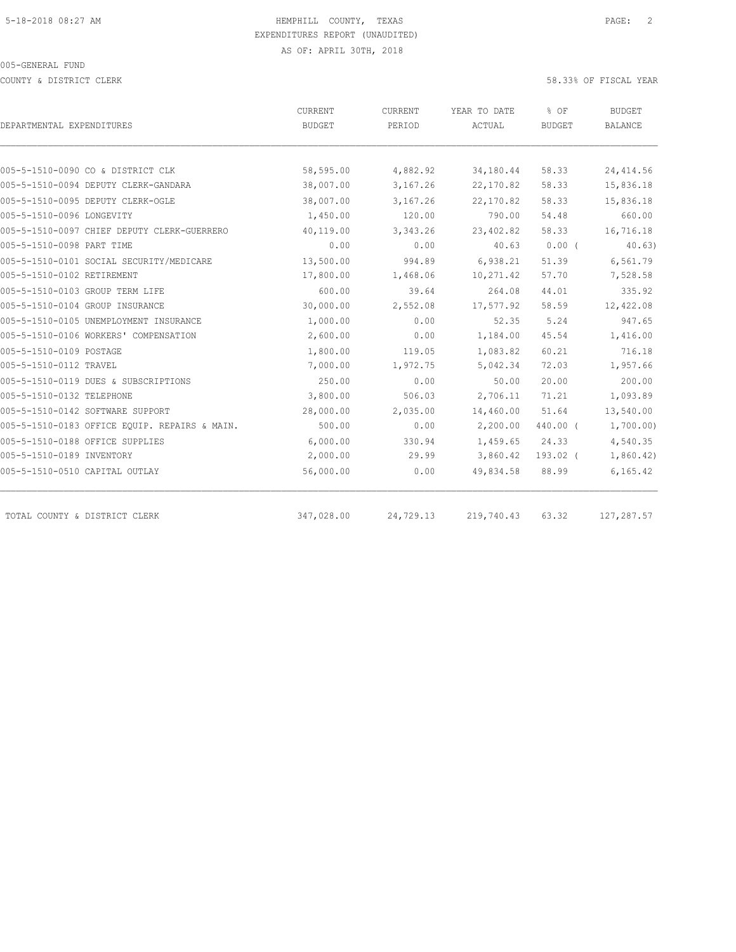COUNTY & DISTRICT CLERK 58.33% OF FISCAL YEAR

|                                               | CURRENT    | CURRENT   | YEAR TO DATE | % OF          | <b>BUDGET</b>  |
|-----------------------------------------------|------------|-----------|--------------|---------------|----------------|
| DEPARTMENTAL EXPENDITURES                     | BUDGET     | PERIOD    | ACTUAL       | <b>BUDGET</b> | <b>BALANCE</b> |
|                                               |            |           |              |               |                |
| 005-5-1510-0090 CO & DISTRICT CLK             | 58,595.00  | 4,882.92  | 34,180.44    | 58.33         | 24, 414.56     |
| 005-5-1510-0094 DEPUTY CLERK-GANDARA          | 38,007.00  | 3,167.26  | 22,170.82    | 58.33         | 15,836.18      |
| 005-5-1510-0095 DEPUTY CLERK-OGLE             | 38,007.00  | 3,167.26  | 22,170.82    | 58.33         | 15,836.18      |
| 005-5-1510-0096 LONGEVITY                     | 1,450.00   | 120.00    | 790.00       | 54.48         | 660.00         |
| 005-5-1510-0097 CHIEF DEPUTY CLERK-GUERRERO   | 40,119.00  | 3,343.26  | 23,402.82    | 58.33         | 16,716.18      |
| 005-5-1510-0098 PART TIME                     | 0.00       | 0.00      | 40.63        | $0.00$ (      | 40.63)         |
| 005-5-1510-0101 SOCIAL SECURITY/MEDICARE      | 13,500.00  | 994.89    | 6,938.21     | 51.39         | 6,561.79       |
| 005-5-1510-0102 RETIREMENT                    | 17,800.00  | 1,468.06  | 10,271.42    | 57.70         | 7,528.58       |
| 005-5-1510-0103 GROUP TERM LIFE               | 600.00     | 39.64     | 264.08       | 44.01         | 335.92         |
| 005-5-1510-0104 GROUP INSURANCE               | 30,000.00  | 2,552.08  | 17,577.92    | 58.59         | 12,422.08      |
| 005-5-1510-0105 UNEMPLOYMENT INSURANCE        | 1,000.00   | 0.00      | 52.35        | 5.24          | 947.65         |
| 005-5-1510-0106 WORKERS' COMPENSATION         | 2,600.00   | 0.00      | 1,184.00     | 45.54         | 1,416.00       |
| 005-5-1510-0109 POSTAGE                       | 1,800.00   | 119.05    | 1,083.82     | 60.21         | 716.18         |
| 005-5-1510-0112 TRAVEL                        | 7,000.00   | 1,972.75  | 5,042.34     | 72.03         | 1,957.66       |
| 005-5-1510-0119 DUES & SUBSCRIPTIONS          | 250.00     | 0.00      | 50.00        | 20.00         | 200.00         |
| 005-5-1510-0132 TELEPHONE                     | 3,800.00   | 506.03    | 2,706.11     | 71.21         | 1,093.89       |
| 005-5-1510-0142 SOFTWARE SUPPORT              | 28,000.00  | 2,035.00  | 14,460.00    | 51.64         | 13,540.00      |
| 005-5-1510-0183 OFFICE EQUIP. REPAIRS & MAIN. | 500.00     | 0.00      | 2,200.00     | 440.00 (      | 1,700.00)      |
| 005-5-1510-0188 OFFICE SUPPLIES               | 6,000.00   | 330.94    | 1,459.65     | 24.33         | 4,540.35       |
| 005-5-1510-0189 INVENTORY                     | 2,000.00   | 29.99     | 3,860.42     | 193.02 (      | 1,860.42)      |
| 005-5-1510-0510 CAPITAL OUTLAY                | 56,000.00  | 0.00      | 49,834.58    | 88.99         | 6, 165.42      |
|                                               |            |           |              |               |                |
| TOTAL COUNTY & DISTRICT CLERK                 | 347,028.00 | 24,729.13 | 219,740.43   | 63.32         | 127,287.57     |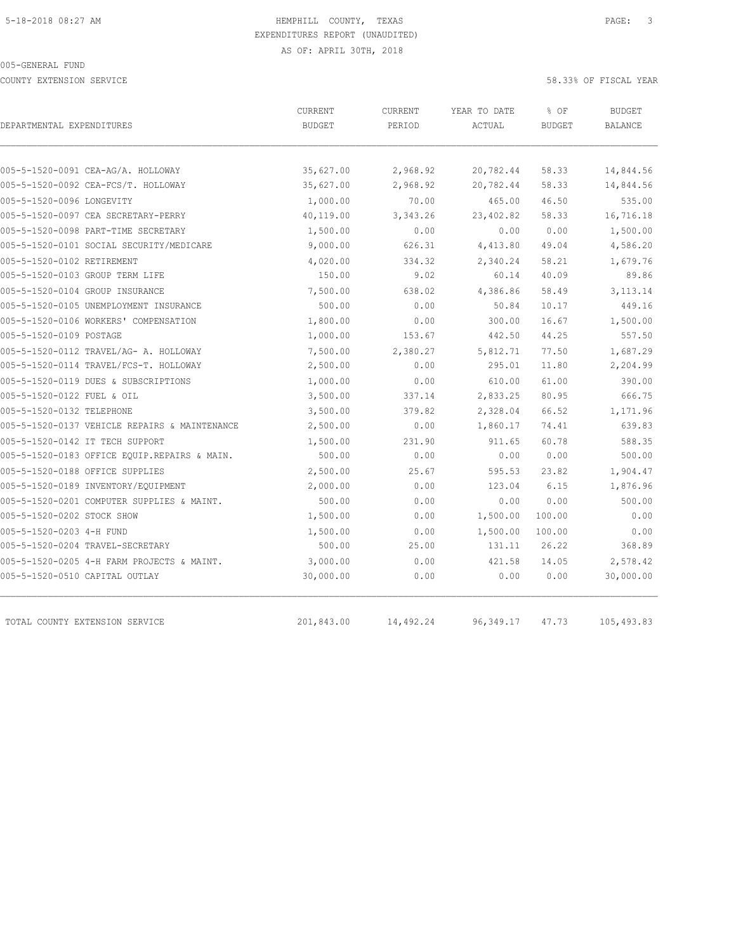COUNTY EXTENSION SERVICE 58.33% OF FISCAL YEAR

| DEPARTMENTAL EXPENDITURES                     | <b>CURRENT</b><br><b>BUDGET</b> | CURRENT<br>PERIOD | YEAR TO DATE<br>ACTUAL | % OF<br><b>BUDGET</b> | <b>BUDGET</b><br>BALANCE |
|-----------------------------------------------|---------------------------------|-------------------|------------------------|-----------------------|--------------------------|
|                                               |                                 |                   |                        |                       |                          |
| 005-5-1520-0091 CEA-AG/A. HOLLOWAY            | 35,627.00                       | 2,968.92          | 20,782.44              | 58.33                 | 14,844.56                |
| 005-5-1520-0092 CEA-FCS/T. HOLLOWAY           | 35,627.00                       | 2,968.92          | 20,782.44              | 58.33                 | 14,844.56                |
| 005-5-1520-0096 LONGEVITY                     | 1,000.00                        | 70.00             | 465.00                 | 46.50                 | 535.00                   |
| 005-5-1520-0097 CEA SECRETARY-PERRY           | 40,119.00                       | 3,343.26          | 23,402.82              | 58.33                 | 16,716.18                |
| 005-5-1520-0098 PART-TIME SECRETARY           | 1,500.00                        | 0.00              | 0.00                   | 0.00                  | 1,500.00                 |
| 005-5-1520-0101 SOCIAL SECURITY/MEDICARE      | 9,000.00                        | 626.31            | 4,413.80               | 49.04                 | 4,586.20                 |
| 005-5-1520-0102 RETIREMENT                    | 4,020.00                        | 334.32            | 2,340.24               | 58.21                 | 1,679.76                 |
| 005-5-1520-0103 GROUP TERM LIFE               | 150.00                          | 9.02              | 60.14                  | 40.09                 | 89.86                    |
| 005-5-1520-0104 GROUP INSURANCE               | 7,500.00                        | 638.02            | 4,386.86               | 58.49                 | 3, 113. 14               |
| 005-5-1520-0105 UNEMPLOYMENT INSURANCE        | 500.00                          | 0.00              | 50.84                  | 10.17                 | 449.16                   |
| 005-5-1520-0106 WORKERS' COMPENSATION         | 1,800.00                        | 0.00              | 300.00                 | 16.67                 | 1,500.00                 |
| 005-5-1520-0109 POSTAGE                       | 1,000.00                        | 153.67            | 442.50                 | 44.25                 | 557.50                   |
| 005-5-1520-0112 TRAVEL/AG- A. HOLLOWAY        | 7,500.00                        | 2,380.27          | 5,812.71               | 77.50                 | 1,687.29                 |
| 005-5-1520-0114 TRAVEL/FCS-T. HOLLOWAY        | 2,500.00                        | 0.00              | 295.01                 | 11.80                 | 2,204.99                 |
| 005-5-1520-0119 DUES & SUBSCRIPTIONS          | 1,000.00                        | 0.00              | 610.00                 | 61.00                 | 390.00                   |
| 005-5-1520-0122 FUEL & OIL                    | 3,500.00                        | 337.14            | 2,833.25               | 80.95                 | 666.75                   |
| 005-5-1520-0132 TELEPHONE                     | 3,500.00                        | 379.82            | 2,328.04               | 66.52                 | 1,171.96                 |
| 005-5-1520-0137 VEHICLE REPAIRS & MAINTENANCE | 2,500.00                        | 0.00              | 1,860.17               | 74.41                 | 639.83                   |
| 005-5-1520-0142 IT TECH SUPPORT               | 1,500.00                        | 231.90            | 911.65                 | 60.78                 | 588.35                   |
| 005-5-1520-0183 OFFICE EQUIP.REPAIRS & MAIN.  | 500.00                          | 0.00              | 0.00                   | 0.00                  | 500.00                   |
| 005-5-1520-0188 OFFICE SUPPLIES               | 2,500.00                        | 25.67             | 595.53                 | 23.82                 | 1,904.47                 |
| 005-5-1520-0189 INVENTORY/EQUIPMENT           | 2,000.00                        | 0.00              | 123.04                 | 6.15                  | 1,876.96                 |
| 005-5-1520-0201 COMPUTER SUPPLIES & MAINT.    | 500.00                          | 0.00              | 0.00                   | 0.00                  | 500.00                   |
| 005-5-1520-0202 STOCK SHOW                    | 1,500.00                        | 0.00              | 1,500.00               | 100.00                | 0.00                     |
| 005-5-1520-0203 4-H FUND                      | 1,500.00                        | 0.00              | 1,500.00               | 100.00                | 0.00                     |
| 005-5-1520-0204 TRAVEL-SECRETARY              | 500.00                          | 25.00             | 131.11                 | 26.22                 | 368.89                   |
| 005-5-1520-0205 4-H FARM PROJECTS & MAINT.    | 3,000.00                        | 0.00              | 421.58                 | 14.05                 | 2,578.42                 |
| 005-5-1520-0510 CAPITAL OUTLAY                | 30,000.00                       | 0.00              | 0.00                   | 0.00                  | 30,000.00                |
| TOTAL COUNTY EXTENSION SERVICE                | 201,843.00                      | 14,492.24         | 96, 349.17             | 47.73                 | 105,493.83               |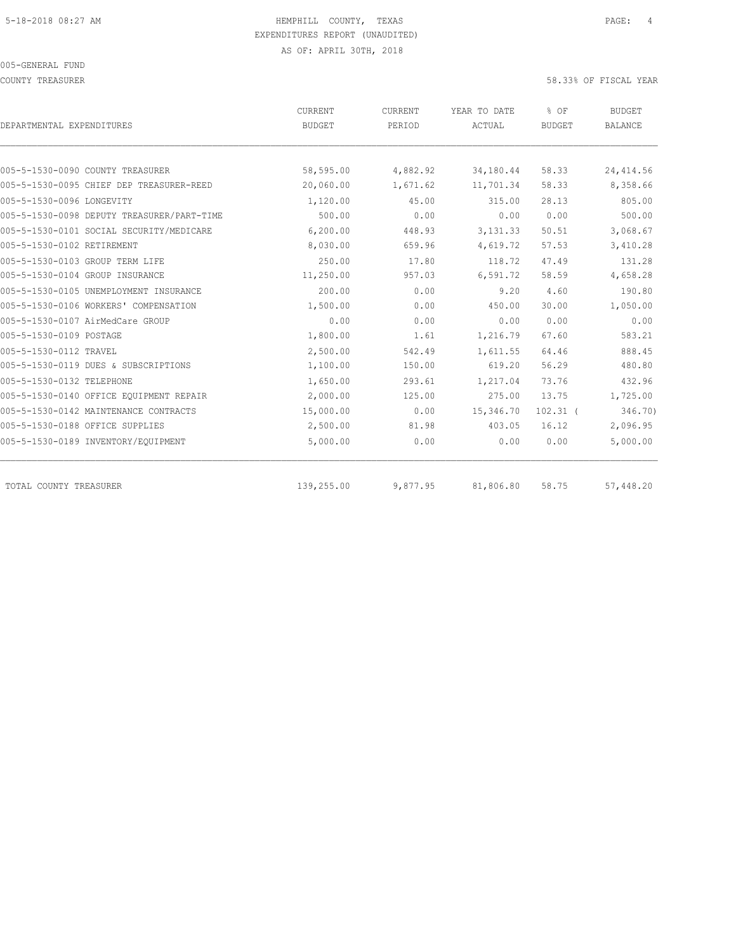COUNTY TREASURER 58.33% OF FISCAL YEAR

| DEPARTMENTAL EXPENDITURES                  | CURRENT<br><b>BUDGET</b> | CURRENT<br>PERIOD | YEAR TO DATE<br>ACTUAL | % OF<br><b>BUDGET</b> | <b>BUDGET</b><br><b>BALANCE</b> |
|--------------------------------------------|--------------------------|-------------------|------------------------|-----------------------|---------------------------------|
|                                            |                          |                   |                        |                       |                                 |
| 005-5-1530-0090 COUNTY TREASURER           | 58,595.00                | 4,882.92          | 34,180.44              | 58.33                 | 24, 414.56                      |
| 005-5-1530-0095 CHIEF DEP TREASURER-REED   | 20,060.00                | 1,671.62          | 11,701.34              | 58.33                 | 8,358.66                        |
| 005-5-1530-0096 LONGEVITY                  | 1,120.00                 | 45.00             | 315.00                 | 28.13                 | 805.00                          |
| 005-5-1530-0098 DEPUTY TREASURER/PART-TIME | 500.00                   | 0.00              | 0.00                   | 0.00                  | 500.00                          |
| 005-5-1530-0101 SOCIAL SECURITY/MEDICARE   | 6,200.00                 | 448.93            | 3, 131.33              | 50.51                 | 3,068.67                        |
| 005-5-1530-0102 RETIREMENT                 | 8,030.00                 | 659.96            | 4,619.72               | 57.53                 | 3,410.28                        |
| 005-5-1530-0103 GROUP TERM LIFE            | 250.00                   | 17.80             | 118.72                 | 47.49                 | 131.28                          |
| 005-5-1530-0104 GROUP INSURANCE            | 11,250.00                | 957.03            | 6, 591.72              | 58.59                 | 4,658.28                        |
| 005-5-1530-0105 UNEMPLOYMENT INSURANCE     | 200.00                   | 0.00              | 9.20                   | 4.60                  | 190.80                          |
| 005-5-1530-0106 WORKERS' COMPENSATION      | 1,500.00                 | 0.00              | 450.00                 | 30.00                 | 1,050.00                        |
| 005-5-1530-0107 AirMedCare GROUP           | 0.00                     | 0.00              | 0.00                   | 0.00                  | 0.00                            |
| 005-5-1530-0109 POSTAGE                    | 1,800.00                 | 1.61              | 1,216.79               | 67.60                 | 583.21                          |
| 005-5-1530-0112 TRAVEL                     | 2,500.00                 | 542.49            | 1,611.55               | 64.46                 | 888.45                          |
| 005-5-1530-0119 DUES & SUBSCRIPTIONS       | 1,100.00                 | 150.00            | 619.20                 | 56.29                 | 480.80                          |
| 005-5-1530-0132 TELEPHONE                  | 1,650.00                 | 293.61            | 1,217.04               | 73.76                 | 432.96                          |
| 005-5-1530-0140 OFFICE EQUIPMENT REPAIR    | 2,000.00                 | 125.00            | 275.00                 | 13.75                 | 1,725.00                        |
| 005-5-1530-0142 MAINTENANCE CONTRACTS      | 15,000.00                | 0.00              | 15,346.70              | $102.31$ (            | 346.70)                         |
| 005-5-1530-0188 OFFICE SUPPLIES            | 2,500.00                 | 81.98             | 403.05                 | 16.12                 | 2,096.95                        |
| 005-5-1530-0189 INVENTORY/EQUIPMENT        | 5,000.00                 | 0.00              | 0.00                   | 0.00                  | 5,000.00                        |
| TOTAL COUNTY TREASURER                     | 139,255.00               | 9,877.95          | 81,806.80              | 58.75                 | 57,448.20                       |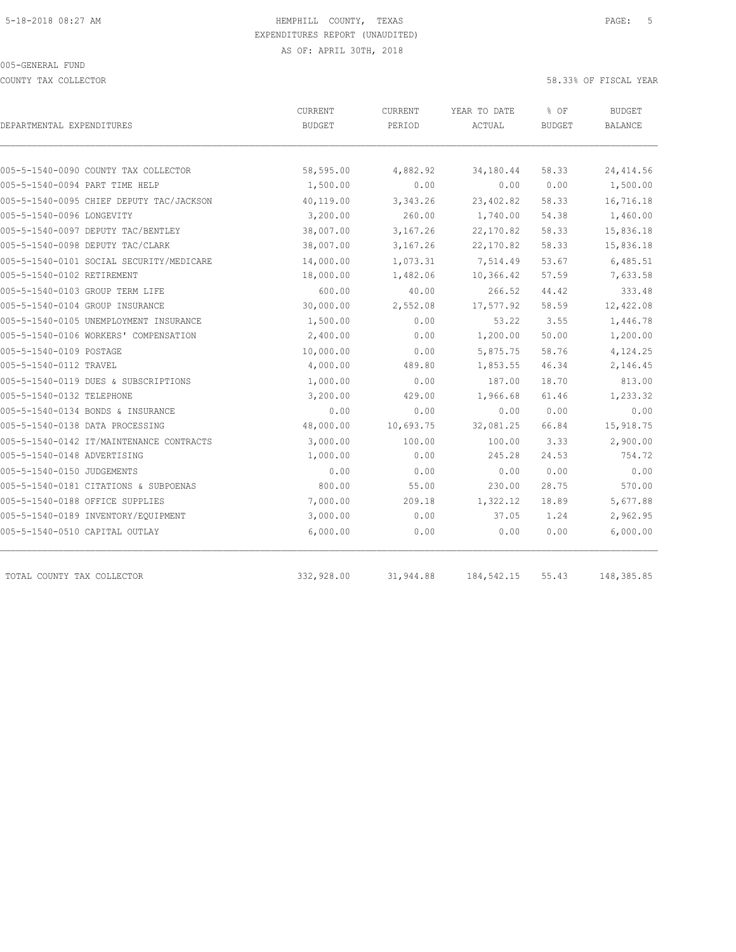COUNTY TAX COLLECTOR 58.33% OF FISCAL YEAR

| DEPARTMENTAL EXPENDITURES                | CURRENT<br><b>BUDGET</b> | CURRENT<br>PERIOD | YEAR TO DATE<br>ACTUAL | % OF<br><b>BUDGET</b> | <b>BUDGET</b><br><b>BALANCE</b> |
|------------------------------------------|--------------------------|-------------------|------------------------|-----------------------|---------------------------------|
|                                          |                          |                   |                        |                       |                                 |
| 005-5-1540-0090 COUNTY TAX COLLECTOR     | 58,595.00                | 4,882.92          | 34,180.44              | 58.33                 | 24, 414.56                      |
| 005-5-1540-0094 PART TIME HELP           | 1,500.00                 | 0.00              | 0.00                   | 0.00                  | 1,500.00                        |
| 005-5-1540-0095 CHIEF DEPUTY TAC/JACKSON | 40,119.00                | 3,343.26          | 23,402.82              | 58.33                 | 16,716.18                       |
| 005-5-1540-0096 LONGEVITY                | 3,200.00                 | 260.00            | 1,740.00               | 54.38                 | 1,460.00                        |
| 005-5-1540-0097 DEPUTY TAC/BENTLEY       | 38,007.00                | 3,167.26          | 22,170.82              | 58.33                 | 15,836.18                       |
| 005-5-1540-0098 DEPUTY TAC/CLARK         | 38,007.00                | 3,167.26          | 22,170.82              | 58.33                 | 15,836.18                       |
| 005-5-1540-0101 SOCIAL SECURITY/MEDICARE | 14,000.00                | 1,073.31          | 7,514.49               | 53.67                 | 6,485.51                        |
| 005-5-1540-0102 RETIREMENT               | 18,000.00                | 1,482.06          | 10,366.42              | 57.59                 | 7,633.58                        |
| 005-5-1540-0103 GROUP TERM LIFE          | 600.00                   | 40.00             | 266.52                 | 44.42                 | 333.48                          |
| 005-5-1540-0104 GROUP INSURANCE          | 30,000.00                | 2,552.08          | 17,577.92              | 58.59                 | 12,422.08                       |
| 005-5-1540-0105 UNEMPLOYMENT INSURANCE   | 1,500.00                 | 0.00              | 53.22                  | 3.55                  | 1,446.78                        |
| 005-5-1540-0106 WORKERS' COMPENSATION    | 2,400.00                 | 0.00              | 1,200.00               | 50.00                 | 1,200.00                        |
| 005-5-1540-0109 POSTAGE                  | 10,000.00                | 0.00              | 5,875.75               | 58.76                 | 4,124.25                        |
| 005-5-1540-0112 TRAVEL                   | 4,000.00                 | 489.80            | 1,853.55               | 46.34                 | 2,146.45                        |
| 005-5-1540-0119 DUES & SUBSCRIPTIONS     | 1,000.00                 | 0.00              | 187.00                 | 18.70                 | 813.00                          |
| 005-5-1540-0132 TELEPHONE                | 3,200.00                 | 429.00            | 1,966.68               | 61.46                 | 1,233.32                        |
| 005-5-1540-0134 BONDS & INSURANCE        | 0.00                     | 0.00              | 0.00                   | 0.00                  | 0.00                            |
| 005-5-1540-0138 DATA PROCESSING          | 48,000.00                | 10,693.75         | 32,081.25              | 66.84                 | 15,918.75                       |
| 005-5-1540-0142 IT/MAINTENANCE CONTRACTS | 3,000.00                 | 100.00            | 100.00                 | 3.33                  | 2,900.00                        |
| 005-5-1540-0148 ADVERTISING              | 1,000.00                 | 0.00              | 245.28                 | 24.53                 | 754.72                          |
| 005-5-1540-0150 JUDGEMENTS               | 0.00                     | 0.00              | 0.00                   | 0.00                  | 0.00                            |
| 005-5-1540-0181 CITATIONS & SUBPOENAS    | 800.00                   | 55.00             | 230.00                 | 28.75                 | 570.00                          |
| 005-5-1540-0188 OFFICE SUPPLIES          | 7,000.00                 | 209.18            | 1,322.12               | 18.89                 | 5,677.88                        |
| 005-5-1540-0189 INVENTORY/EQUIPMENT      | 3,000.00                 | 0.00              | 37.05                  | 1.24                  | 2,962.95                        |
| 005-5-1540-0510 CAPITAL OUTLAY           | 6,000.00                 | 0.00              | 0.00                   | 0.00                  | 6,000.00                        |
| TOTAL COUNTY TAX COLLECTOR               | 332,928.00               | 31,944.88         | 184, 542.15            | 55.43                 | 148,385.85                      |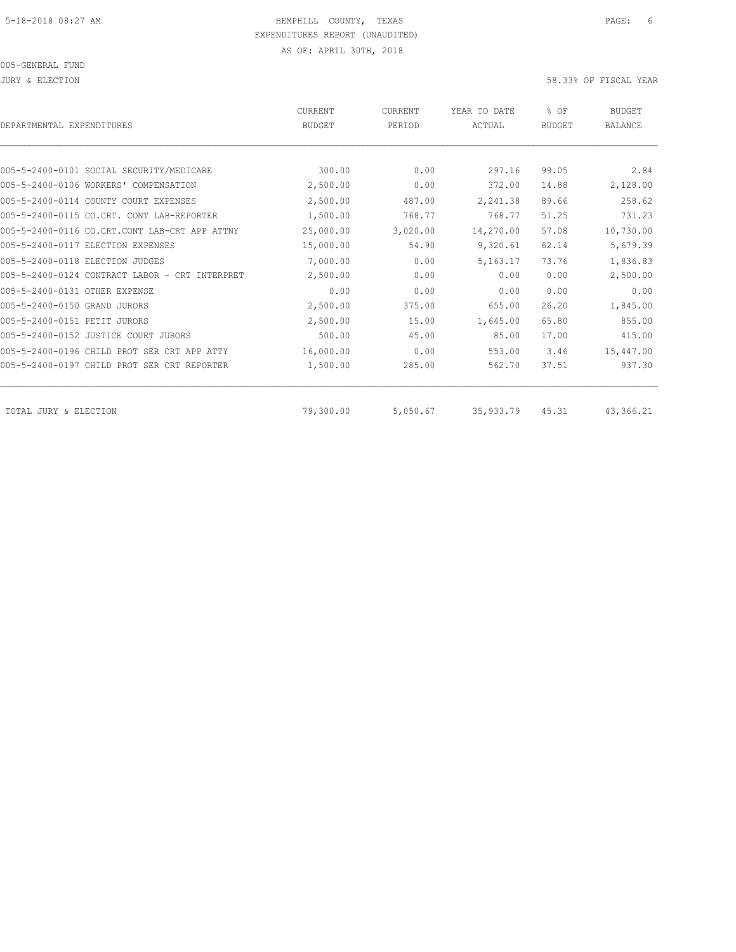JURY & ELECTION 58.33% OF FISCAL YEAR

| DEPARTMENTAL EXPENDITURES                      | <b>CURRENT</b><br><b>BUDGET</b> | CURRENT<br>PERIOD | YEAR TO DATE<br>ACTUAL | % OF<br><b>BUDGET</b> | <b>BUDGET</b><br><b>BALANCE</b> |
|------------------------------------------------|---------------------------------|-------------------|------------------------|-----------------------|---------------------------------|
|                                                |                                 |                   |                        |                       |                                 |
| 005-5-2400-0101 SOCIAL SECURITY/MEDICARE       | 300.00                          | 0.00              | 297.16                 | 99.05                 | 2.84                            |
| 005-5-2400-0106 WORKERS' COMPENSATION          | 2,500.00                        | 0.00              | 372.00                 | 14.88                 | 2,128.00                        |
| 005-5-2400-0114 COUNTY COURT EXPENSES          | 2,500.00                        | 487.00            | 2,241.38               | 89.66                 | 258.62                          |
| 005-5-2400-0115 CO.CRT. CONT LAB-REPORTER      | 1,500.00                        | 768.77            | 768.77                 | 51.25                 | 731.23                          |
| 005-5-2400-0116 CO.CRT.CONT LAB-CRT APP ATTNY  | 25,000.00                       | 3,020.00          | 14,270.00              | 57.08                 | 10,730.00                       |
| 005-5-2400-0117 ELECTION EXPENSES              | 15,000.00                       | 54.90             | 9,320.61               | 62.14                 | 5,679.39                        |
| 005-5-2400-0118 ELECTION JUDGES                | 7,000.00                        | 0.00              | 5,163.17               | 73.76                 | 1,836.83                        |
| 005-5-2400-0124 CONTRACT LABOR - CRT INTERPRET | 2,500.00                        | 0.00              | 0.00                   | 0.00                  | 2,500.00                        |
| 005-5-2400-0131 OTHER EXPENSE                  | 0.00                            | 0.00              | 0.00                   | 0.00                  | 0.00                            |
| 005-5-2400-0150 GRAND JURORS                   | 2,500.00                        | 375.00            | 655.00                 | 26.20                 | 1,845.00                        |
| 005-5-2400-0151 PETIT JURORS                   | 2,500.00                        | 15.00             | 1,645.00               | 65.80                 | 855.00                          |
| 005-5-2400-0152 JUSTICE COURT JURORS           | 500.00                          | 45.00             | 85.00                  | 17.00                 | 415.00                          |
| 005-5-2400-0196 CHILD PROT SER CRT APP ATTY    | 16,000.00                       | 0.00              | 553.00                 | 3.46                  | 15,447.00                       |
| 005-5-2400-0197 CHILD PROT SER CRT REPORTER    | 1,500.00                        | 285.00            | 562.70                 | 37.51                 | 937.30                          |
| TOTAL JURY & ELECTION                          | 79,300.00                       | 5,050.67          | 35,933.79              | 45.31                 | 43,366.21                       |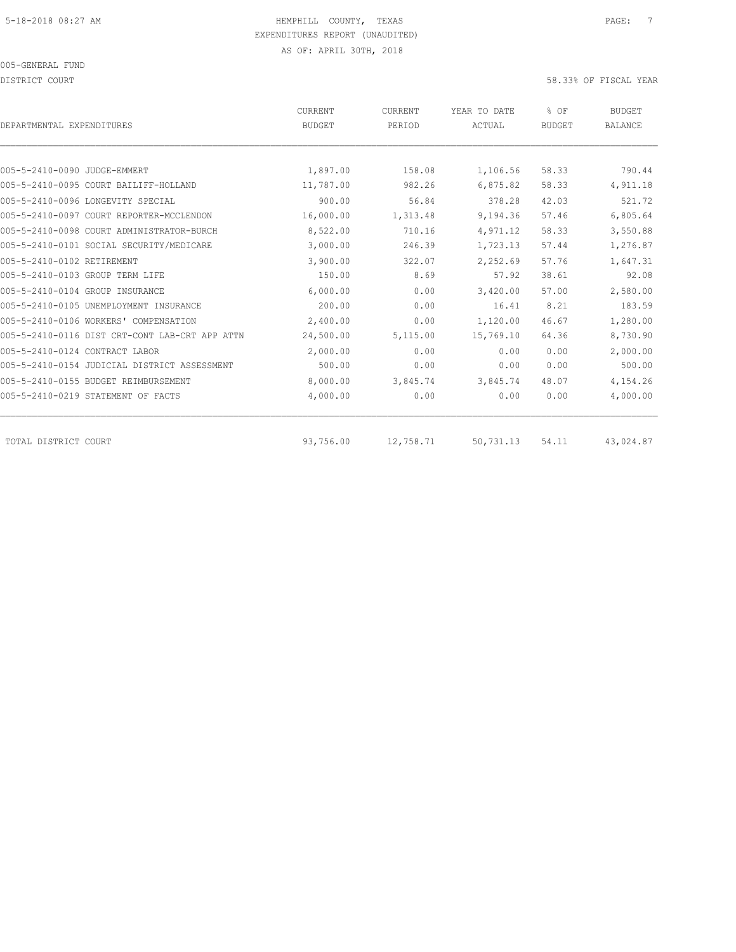DISTRICT COURT 58.33% OF FISCAL YEAR

| DEPARTMENTAL EXPENDITURES              |                                                | CURRENT<br><b>BUDGET</b> | CURRENT<br>PERIOD | YEAR TO DATE<br>ACTUAL | % OF<br><b>BUDGET</b> | <b>BUDGET</b><br><b>BALANCE</b> |
|----------------------------------------|------------------------------------------------|--------------------------|-------------------|------------------------|-----------------------|---------------------------------|
|                                        |                                                |                          |                   |                        |                       |                                 |
| 005-5-2410-0090 JUDGE-EMMERT           |                                                | 1,897.00                 | 158.08            | 1,106.56               | 58.33                 | 790.44                          |
| 005-5-2410-0095 COURT BAILIFF-HOLLAND  |                                                | 11,787.00                | 982.26            | 6,875.82               | 58.33                 | 4,911.18                        |
| 005-5-2410-0096 LONGEVITY SPECIAL      |                                                | 900.00                   | 56.84             | 378.28                 | 42.03                 | 521.72                          |
|                                        | 005-5-2410-0097 COURT REPORTER-MCCLENDON       | 16,000.00                | 1,313.48          | 9,194.36               | 57.46                 | 6,805.64                        |
|                                        | 005-5-2410-0098 COURT ADMINISTRATOR-BURCH      | 8,522.00                 | 710.16            | 4,971.12               | 58.33                 | 3,550.88                        |
|                                        | 005-5-2410-0101 SOCIAL SECURITY/MEDICARE       | 3,000.00                 | 246.39            | 1,723.13               | 57.44                 | 1,276.87                        |
| 005-5-2410-0102 RETIREMENT             |                                                | 3,900.00                 | 322.07            | 2,252.69               | 57.76                 | 1,647.31                        |
| 005-5-2410-0103 GROUP TERM LIFE        |                                                | 150.00                   | 8.69              | 57.92                  | 38.61                 | 92.08                           |
| 005-5-2410-0104 GROUP INSURANCE        |                                                | 6,000.00                 | 0.00              | 3,420.00               | 57.00                 | 2,580.00                        |
| 005-5-2410-0105 UNEMPLOYMENT INSURANCE |                                                | 200.00                   | 0.00              | 16.41                  | 8.21                  | 183.59                          |
| 005-5-2410-0106 WORKERS' COMPENSATION  |                                                | 2,400.00                 | 0.00              | 1,120.00               | 46.67                 | 1,280.00                        |
|                                        | 005-5-2410-0116 DIST CRT-CONT LAB-CRT APP ATTN | 24,500.00                | 5,115.00          | 15,769.10              | 64.36                 | 8,730.90                        |
| 005-5-2410-0124 CONTRACT LABOR         |                                                | 2,000.00                 | 0.00              | 0.00                   | 0.00                  | 2,000.00                        |
|                                        | 005-5-2410-0154 JUDICIAL DISTRICT ASSESSMENT   | 500.00                   | 0.00              | 0.00                   | 0.00                  | 500.00                          |
| 005-5-2410-0155 BUDGET REIMBURSEMENT   |                                                | 8,000.00                 | 3,845.74          | 3,845.74               | 48.07                 | 4,154.26                        |
| 005-5-2410-0219 STATEMENT OF FACTS     |                                                | 4,000.00                 | 0.00              | 0.00                   | 0.00                  | 4,000.00                        |
| TOTAL DISTRICT COURT                   |                                                | 93,756.00                | 12,758.71         | 50,731.13              | 54.11                 | 43,024.87                       |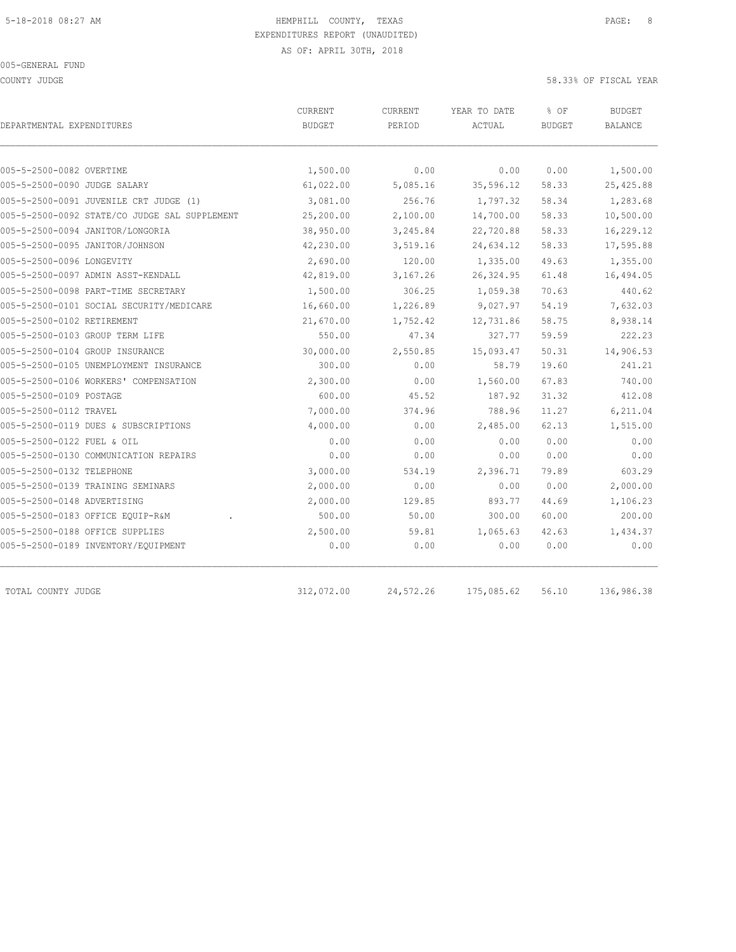COUNTY JUDGE 58.33% OF FISCAL YEAR

| DEPARTMENTAL EXPENDITURES                     | CURRENT<br><b>BUDGET</b> | CURRENT<br>PERIOD | YEAR TO DATE<br>ACTUAL | % OF<br><b>BUDGET</b> | <b>BUDGET</b><br>BALANCE |
|-----------------------------------------------|--------------------------|-------------------|------------------------|-----------------------|--------------------------|
|                                               |                          |                   |                        |                       |                          |
| 005-5-2500-0082 OVERTIME                      | 1,500.00                 | 0.00              | 0.00                   | 0.00                  | 1,500.00                 |
| 005-5-2500-0090 JUDGE SALARY                  | 61,022.00                | 5,085.16          | 35,596.12              | 58.33                 | 25, 425.88               |
| 005-5-2500-0091 JUVENILE CRT JUDGE (1)        | 3,081.00                 | 256.76            | 1,797.32               | 58.34                 | 1,283.68                 |
| 005-5-2500-0092 STATE/CO JUDGE SAL SUPPLEMENT | 25,200.00                | 2,100.00          | 14,700.00              | 58.33                 | 10,500.00                |
| 005-5-2500-0094 JANITOR/LONGORIA              | 38,950.00                | 3,245.84          | 22,720.88              | 58.33                 | 16,229.12                |
| 005-5-2500-0095 JANITOR/JOHNSON               | 42,230.00                | 3,519.16          | 24,634.12              | 58.33                 | 17,595.88                |
| 005-5-2500-0096 LONGEVITY                     | 2,690.00                 | 120.00            | 1,335.00               | 49.63                 | 1,355.00                 |
| 005-5-2500-0097 ADMIN ASST-KENDALL            | 42,819.00                | 3,167.26          | 26, 324.95             | 61.48                 | 16,494.05                |
| 005-5-2500-0098 PART-TIME SECRETARY           | 1,500.00                 | 306.25            | 1,059.38               | 70.63                 | 440.62                   |
| 005-5-2500-0101 SOCIAL SECURITY/MEDICARE      | 16,660.00                | 1,226.89          | 9,027.97               | 54.19                 | 7,632.03                 |
| 005-5-2500-0102 RETIREMENT                    | 21,670.00                | 1,752.42          | 12,731.86              | 58.75                 | 8,938.14                 |
| 005-5-2500-0103 GROUP TERM LIFE               | 550.00                   | 47.34             | 327.77                 | 59.59                 | 222.23                   |
| 005-5-2500-0104 GROUP INSURANCE               | 30,000.00                | 2,550.85          | 15,093.47              | 50.31                 | 14,906.53                |
| 005-5-2500-0105 UNEMPLOYMENT INSURANCE        | 300.00                   | 0.00              | 58.79                  | 19.60                 | 241.21                   |
| 005-5-2500-0106 WORKERS' COMPENSATION         | 2,300.00                 | 0.00              | 1,560.00               | 67.83                 | 740.00                   |
| 005-5-2500-0109 POSTAGE                       | 600.00                   | 45.52             | 187.92                 | 31.32                 | 412.08                   |
| 005-5-2500-0112 TRAVEL                        | 7,000.00                 | 374.96            | 788.96                 | 11.27                 | 6,211.04                 |
| 005-5-2500-0119 DUES & SUBSCRIPTIONS          | 4,000.00                 | 0.00              | 2,485.00               | 62.13                 | 1,515.00                 |
| 005-5-2500-0122 FUEL & OIL                    | 0.00                     | 0.00              | 0.00                   | 0.00                  | 0.00                     |
| 005-5-2500-0130 COMMUNICATION REPAIRS         | 0.00                     | 0.00              | 0.00                   | 0.00                  | 0.00                     |
| 005-5-2500-0132 TELEPHONE                     | 3,000.00                 | 534.19            | 2,396.71               | 79.89                 | 603.29                   |
| 005-5-2500-0139 TRAINING SEMINARS             | 2,000.00                 | 0.00              | 0.00                   | 0.00                  | 2,000.00                 |
| 005-5-2500-0148 ADVERTISING                   | 2,000.00                 | 129.85            | 893.77                 | 44.69                 | 1,106.23                 |
| 005-5-2500-0183 OFFICE EQUIP-R&M              | 500.00                   | 50.00             | 300.00                 | 60.00                 | 200.00                   |
| 005-5-2500-0188 OFFICE SUPPLIES               | 2,500.00                 | 59.81             | 1,065.63               | 42.63                 | 1,434.37                 |
| 005-5-2500-0189 INVENTORY/EQUIPMENT           | 0.00                     | 0.00              | 0.00                   | 0.00                  | 0.00                     |

TOTAL COUNTY JUDGE 312,072.00 24,572.26 175,085.62 56.10 136,986.38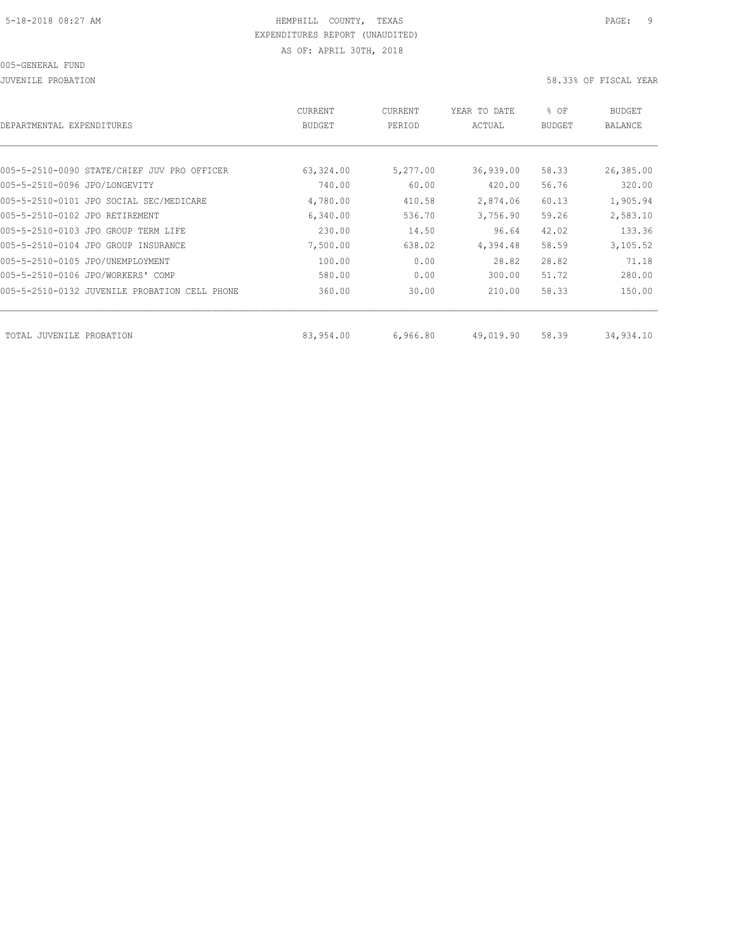| DEPARTMENTAL EXPENDITURES                     | <b>CURRENT</b><br><b>BUDGET</b> | CURRENT<br>PERIOD | YEAR TO DATE<br>ACTUAL | % OF<br><b>BUDGET</b> | BUDGET<br><b>BALANCE</b> |
|-----------------------------------------------|---------------------------------|-------------------|------------------------|-----------------------|--------------------------|
|                                               |                                 |                   |                        |                       |                          |
| 005-5-2510-0090 STATE/CHIEF JUV PRO OFFICER   | 63,324.00                       | 5,277.00          | 36,939.00              | 58.33                 | 26,385.00                |
| 005-5-2510-0096 JPO/LONGEVITY                 | 740.00                          | 60.00             | 420.00                 | 56.76                 | 320.00                   |
| 005-5-2510-0101 JPO SOCIAL SEC/MEDICARE       | 4,780.00                        | 410.58            | 2,874.06               | 60.13                 | 1,905.94                 |
| 005-5-2510-0102 JPO RETIREMENT                | 6,340.00                        | 536.70            | 3,756.90               | 59.26                 | 2,583.10                 |
| 005-5-2510-0103 JPO GROUP TERM LIFE           | 230.00                          | 14.50             | 96.64                  | 42.02                 | 133.36                   |
| 005-5-2510-0104 JPO GROUP INSURANCE           | 7,500.00                        | 638.02            | 4,394.48               | 58.59                 | 3,105.52                 |
| 005-5-2510-0105 JPO/UNEMPLOYMENT              | 100.00                          | 0.00              | 28.82                  | 28.82                 | 71.18                    |
| 005-5-2510-0106 JPO/WORKERS' COMP             | 580.00                          | 0.00              | 300.00                 | 51.72                 | 280.00                   |
| 005-5-2510-0132 JUVENILE PROBATION CELL PHONE | 360.00                          | 30.00             | 210.00                 | 58.33                 | 150.00                   |
|                                               |                                 |                   |                        |                       |                          |
| TOTAL JUVENILE<br>PROBATION                   | 83,954.00                       | 6,966.80          | 49,019.90              | 58.39                 | 34,934.10                |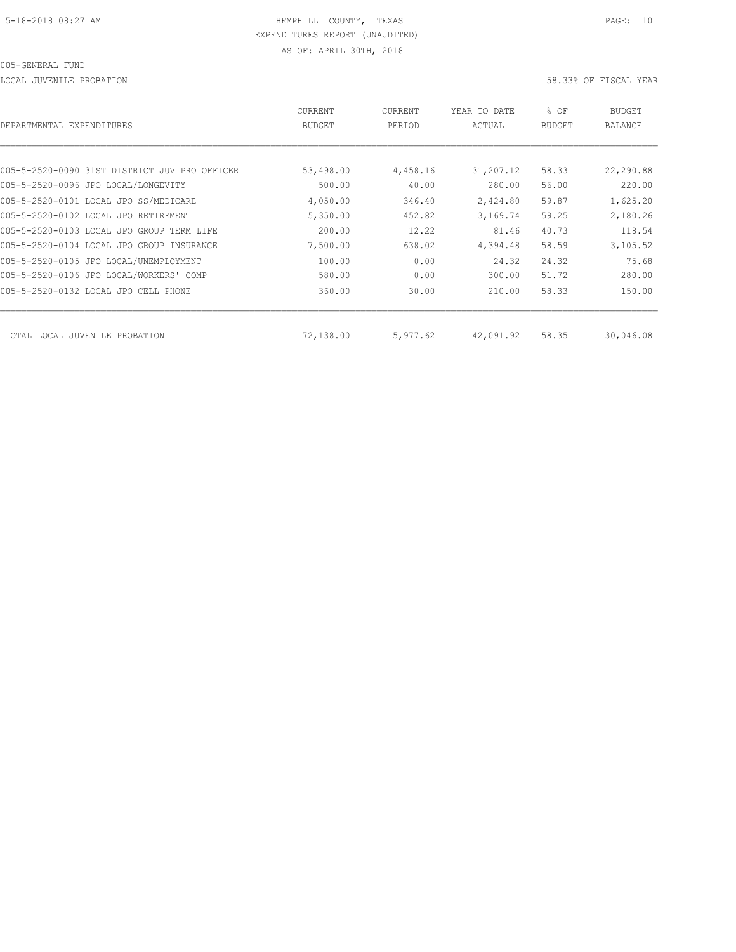LOCAL JUVENILE PROBATION 58.33% OF FISCAL YEAR

| DEPARTMENTAL EXPENDITURES                     | <b>CURRENT</b><br><b>BUDGET</b> | CURRENT<br>PERIOD | YEAR TO DATE<br>ACTUAL | % OF<br><b>BUDGET</b> | <b>BUDGET</b><br><b>BALANCE</b> |
|-----------------------------------------------|---------------------------------|-------------------|------------------------|-----------------------|---------------------------------|
|                                               |                                 |                   |                        |                       |                                 |
| 005-5-2520-0090 31ST DISTRICT JUV PRO OFFICER | 53,498.00                       | 4,458.16          | 31,207.12              | 58.33                 | 22,290.88                       |
| 005-5-2520-0096 JPO LOCAL/LONGEVITY           | 500.00                          | 40.00             | 280.00                 | 56.00                 | 220.00                          |
| 005-5-2520-0101 LOCAL JPO SS/MEDICARE         | 4,050.00                        | 346.40            | 2,424.80               | 59.87                 | 1,625.20                        |
| 005-5-2520-0102 LOCAL JPO RETIREMENT          | 5,350.00                        | 452.82            | 3,169.74               | 59.25                 | 2,180.26                        |
| 005-5-2520-0103 LOCAL JPO GROUP TERM LIFE     | 200.00                          | 12.22             | 81.46                  | 40.73                 | 118.54                          |
| 005-5-2520-0104 LOCAL JPO GROUP INSURANCE     | 7,500.00                        | 638.02            | 4,394.48               | 58.59                 | 3,105.52                        |
| 005-5-2520-0105 JPO LOCAL/UNEMPLOYMENT        | 100.00                          | 0.00              | 24.32                  | 24.32                 | 75.68                           |
| 005-5-2520-0106 JPO LOCAL/WORKERS' COMP       | 580.00                          | 0.00              | 300.00                 | 51.72                 | 280.00                          |
| 005-5-2520-0132 LOCAL JPO CELL PHONE          | 360.00                          | 30.00             | 210.00                 | 58.33                 | 150.00                          |
| TOTAL LOCAL JUVENILE PROBATION                | 72,138.00                       | 5,977.62          | 42,091.92              | 58.35                 | 30,046.08                       |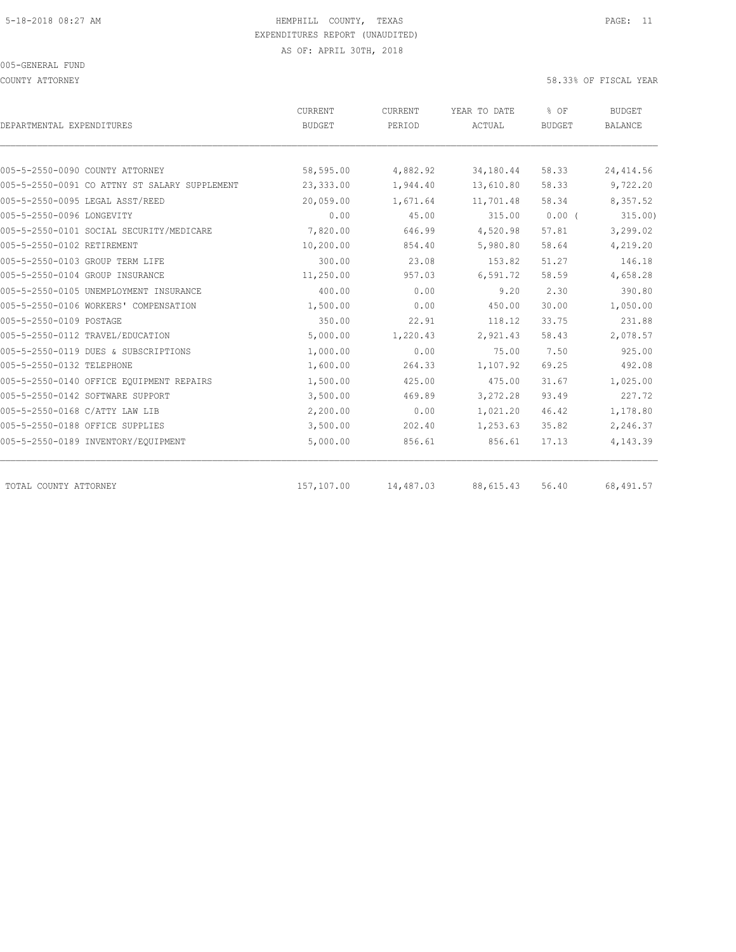COUNTY ATTORNEY 58.33% OF FISCAL YEAR

| DEPARTMENTAL EXPENDITURES                     | <b>CURRENT</b><br><b>BUDGET</b> | <b>CURRENT</b><br>PERIOD | YEAR TO DATE<br>ACTUAL | % OF<br><b>BUDGET</b> | <b>BUDGET</b><br><b>BALANCE</b> |
|-----------------------------------------------|---------------------------------|--------------------------|------------------------|-----------------------|---------------------------------|
|                                               |                                 |                          |                        |                       |                                 |
| 005-5-2550-0090 COUNTY ATTORNEY               | 58,595.00                       | 4,882.92                 | 34,180.44              | 58.33                 | 24, 414.56                      |
| 005-5-2550-0091 CO ATTNY ST SALARY SUPPLEMENT | 23,333.00                       | 1,944.40                 | 13,610.80              | 58.33                 | 9,722.20                        |
| 005-5-2550-0095 LEGAL ASST/REED               | 20,059.00                       | 1,671.64                 | 11,701.48              | 58.34                 | 8,357.52                        |
| 005-5-2550-0096 LONGEVITY                     | 0.00                            | 45.00                    | 315.00                 | $0.00$ (              | 315.00                          |
| 005-5-2550-0101 SOCIAL SECURITY/MEDICARE      | 7,820.00                        | 646.99                   | 4,520.98               | 57.81                 | 3,299.02                        |
| 005-5-2550-0102 RETIREMENT                    | 10,200.00                       | 854.40                   | 5,980.80               | 58.64                 | 4,219.20                        |
| 005-5-2550-0103 GROUP TERM LIFE               | 300.00                          | 23.08                    | 153.82                 | 51.27                 | 146.18                          |
| 005-5-2550-0104 GROUP INSURANCE               | 11,250.00                       | 957.03                   | 6, 591.72              | 58.59                 | 4,658.28                        |
| 005-5-2550-0105 UNEMPLOYMENT INSURANCE        | 400.00                          | 0.00                     | 9.20                   | 2.30                  | 390.80                          |
| 005-5-2550-0106 WORKERS' COMPENSATION         | 1,500.00                        | 0.00                     | 450.00                 | 30.00                 | 1,050.00                        |
| 005-5-2550-0109 POSTAGE                       | 350.00                          | 22.91                    | 118.12                 | 33.75                 | 231.88                          |
| 005-5-2550-0112 TRAVEL/EDUCATION              | 5,000.00                        | 1,220.43                 | 2,921.43               | 58.43                 | 2,078.57                        |
| 005-5-2550-0119 DUES & SUBSCRIPTIONS          | 1,000.00                        | 0.00                     | 75.00                  | 7.50                  | 925.00                          |
| 005-5-2550-0132 TELEPHONE                     | 1,600.00                        | 264.33                   | 1,107.92               | 69.25                 | 492.08                          |
| 005-5-2550-0140 OFFICE EOUIPMENT REPAIRS      | 1,500.00                        | 425.00                   | 475.00                 | 31.67                 | 1,025.00                        |
| 005-5-2550-0142 SOFTWARE SUPPORT              | 3,500.00                        | 469.89                   | 3,272.28               | 93.49                 | 227.72                          |
| 005-5-2550-0168 C/ATTY LAW LIB                | 2,200.00                        | 0.00                     | 1,021.20               | 46.42                 | 1,178.80                        |
| 005-5-2550-0188 OFFICE SUPPLIES               | 3,500.00                        | 202.40                   | 1,253.63               | 35.82                 | 2,246.37                        |
| 005-5-2550-0189 INVENTORY/EQUIPMENT           | 5,000.00                        | 856.61                   | 856.61                 | 17.13                 | 4,143.39                        |
| TOTAL COUNTY ATTORNEY                         | 157,107.00                      | 14,487.03                | 88, 615.43             | 56.40                 | 68,491.57                       |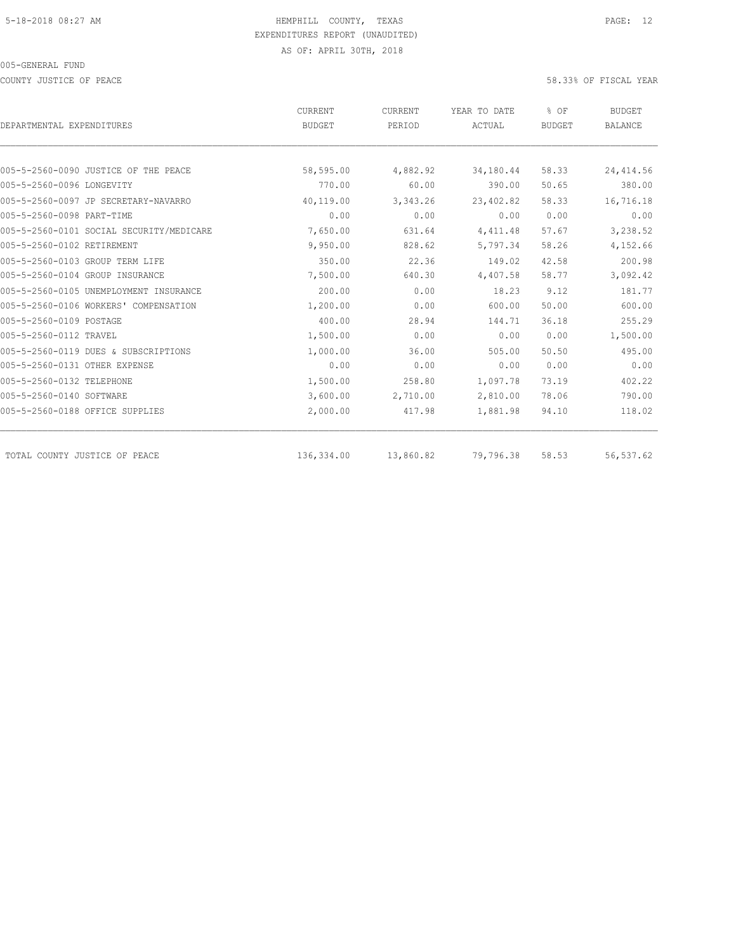COUNTY JUSTICE OF PEACE 58.33% OF FISCAL YEAR

|                                          | CURRENT       | CURRENT   | YEAR TO DATE  | % OF          | <b>BUDGET</b>  |
|------------------------------------------|---------------|-----------|---------------|---------------|----------------|
| DEPARTMENTAL EXPENDITURES                | <b>BUDGET</b> | PERIOD    | <b>ACTUAL</b> | <b>BUDGET</b> | <b>BALANCE</b> |
|                                          |               |           |               |               |                |
| 005-5-2560-0090 JUSTICE OF THE PEACE     | 58,595.00     | 4,882.92  | 34,180.44     | 58.33         | 24, 414.56     |
| 005-5-2560-0096 LONGEVITY                | 770.00        | 60.00     | 390.00        | 50.65         | 380.00         |
| 005-5-2560-0097 JP SECRETARY-NAVARRO     | 40,119.00     | 3,343.26  | 23,402.82     | 58.33         | 16,716.18      |
| 005-5-2560-0098 PART-TIME                | 0.00          | 0.00      | 0.00          | 0.00          | 0.00           |
| 005-5-2560-0101 SOCIAL SECURITY/MEDICARE | 7,650.00      | 631.64    | 4, 411.48     | 57.67         | 3,238.52       |
| 005-5-2560-0102 RETIREMENT               | 9,950.00      | 828.62    | 5,797.34      | 58.26         | 4,152.66       |
| 005-5-2560-0103 GROUP TERM LIFE          | 350.00        | 22.36     | 149.02        | 42.58         | 200.98         |
| 005-5-2560-0104 GROUP INSURANCE          | 7,500.00      | 640.30    | 4,407.58      | 58.77         | 3,092.42       |
| 005-5-2560-0105 UNEMPLOYMENT INSURANCE   | 200.00        | 0.00      | 18.23         | 9.12          | 181.77         |
| 005-5-2560-0106 WORKERS' COMPENSATION    | 1,200.00      | 0.00      | 600.00        | 50.00         | 600.00         |
| 005-5-2560-0109 POSTAGE                  | 400.00        | 28.94     | 144.71        | 36.18         | 255.29         |
| 005-5-2560-0112 TRAVEL                   | 1,500.00      | 0.00      | 0.00          | 0.00          | 1,500.00       |
| 005-5-2560-0119 DUES & SUBSCRIPTIONS     | 1,000.00      | 36.00     | 505.00        | 50.50         | 495.00         |
| 005-5-2560-0131 OTHER EXPENSE            | 0.00          | 0.00      | 0.00          | 0.00          | 0.00           |
| 005-5-2560-0132 TELEPHONE                | 1,500.00      | 258.80    | 1,097.78      | 73.19         | 402.22         |
| 005-5-2560-0140 SOFTWARE                 | 3,600.00      | 2,710.00  | 2,810.00      | 78.06         | 790.00         |
| 005-5-2560-0188 OFFICE SUPPLIES          | 2,000.00      | 417.98    | 1,881.98      | 94.10         | 118.02         |
| TOTAL COUNTY JUSTICE OF PEACE            | 136,334.00    | 13,860.82 | 79,796.38     | 58.53         | 56,537.62      |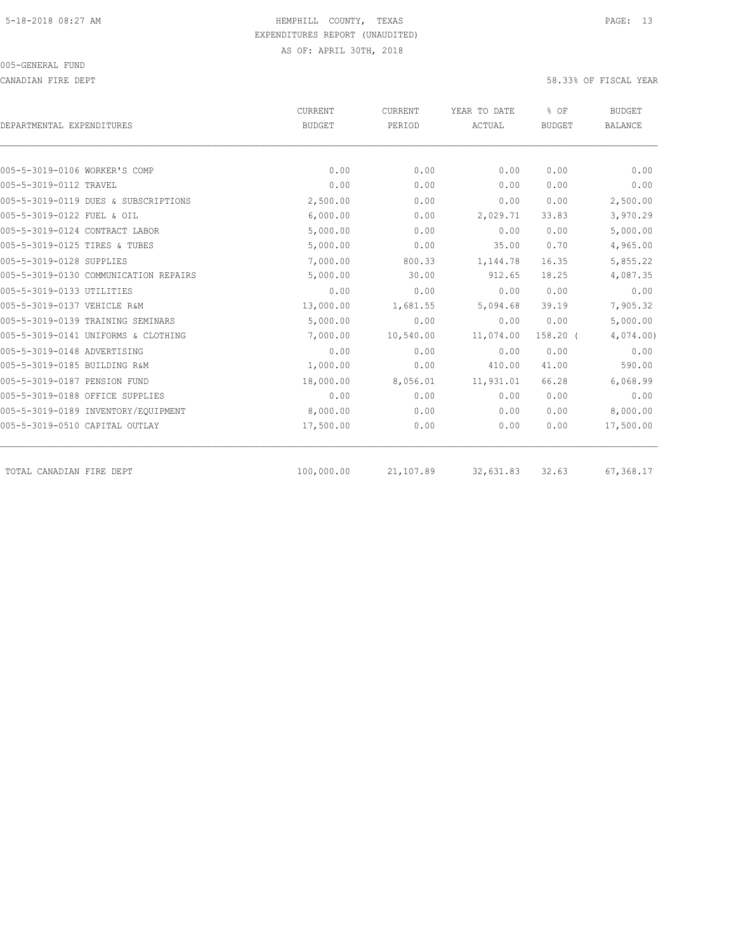CANADIAN FIRE DEPT 58.33% OF FISCAL YEAR

| DEPARTMENTAL EXPENDITURES             | <b>CURRENT</b><br><b>BUDGET</b> | <b>CURRENT</b><br>PERIOD | YEAR TO DATE<br>ACTUAL | % OF<br><b>BUDGET</b> | <b>BUDGET</b><br><b>BALANCE</b> |
|---------------------------------------|---------------------------------|--------------------------|------------------------|-----------------------|---------------------------------|
|                                       |                                 |                          |                        |                       |                                 |
| 005-5-3019-0106 WORKER'S COMP         | 0.00                            | 0.00                     | 0.00                   | 0.00                  | 0.00                            |
| 005-5-3019-0112 TRAVEL                | 0.00                            | 0.00                     | 0.00                   | 0.00                  | 0.00                            |
| 005-5-3019-0119 DUES & SUBSCRIPTIONS  | 2,500.00                        | 0.00                     | 0.00                   | 0.00                  | 2,500.00                        |
| 005-5-3019-0122 FUEL & OIL            | 6,000.00                        | 0.00                     | 2,029.71               | 33.83                 | 3,970.29                        |
| 005-5-3019-0124 CONTRACT LABOR        | 5,000.00                        | 0.00                     | 0.00                   | 0.00                  | 5,000.00                        |
| 005-5-3019-0125 TIRES & TUBES         | 5,000.00                        | 0.00                     | 35.00                  | 0.70                  | 4,965.00                        |
| 005-5-3019-0128 SUPPLIES              | 7,000.00                        | 800.33                   | 1,144.78               | 16.35                 | 5,855.22                        |
| 005-5-3019-0130 COMMUNICATION REPAIRS | 5,000.00                        | 30.00                    | 912.65                 | 18.25                 | 4,087.35                        |
| 005-5-3019-0133 UTILITIES             | 0.00                            | 0.00                     | 0.00                   | 0.00                  | 0.00                            |
| 005-5-3019-0137 VEHICLE R&M           | 13,000.00                       | 1,681.55                 | 5,094.68               | 39.19                 | 7,905.32                        |
| 005-5-3019-0139 TRAINING SEMINARS     | 5,000.00                        | 0.00                     | 0.00                   | 0.00                  | 5,000.00                        |
| 005-5-3019-0141 UNIFORMS & CLOTHING   | 7,000.00                        | 10,540.00                | 11,074.00              | $158.20$ (            | 4,074.00                        |
| 005-5-3019-0148 ADVERTISING           | 0.00                            | 0.00                     | 0.00                   | 0.00                  | 0.00                            |
| 005-5-3019-0185 BUILDING R&M          | 1,000.00                        | 0.00                     | 410.00                 | 41.00                 | 590.00                          |
| 005-5-3019-0187 PENSION FUND          | 18,000.00                       | 8,056.01                 | 11,931.01              | 66.28                 | 6,068.99                        |
| 005-5-3019-0188 OFFICE SUPPLIES       | 0.00                            | 0.00                     | 0.00                   | 0.00                  | 0.00                            |
| 005-5-3019-0189 INVENTORY/EQUIPMENT   | 8,000.00                        | 0.00                     | 0.00                   | 0.00                  | 8,000.00                        |
| 005-5-3019-0510 CAPITAL OUTLAY        | 17,500.00                       | 0.00                     | 0.00                   | 0.00                  | 17,500.00                       |
| TOTAL CANADIAN FIRE DEPT              | 100,000.00                      | 21,107.89                | 32,631.83              | 32.63                 | 67,368.17                       |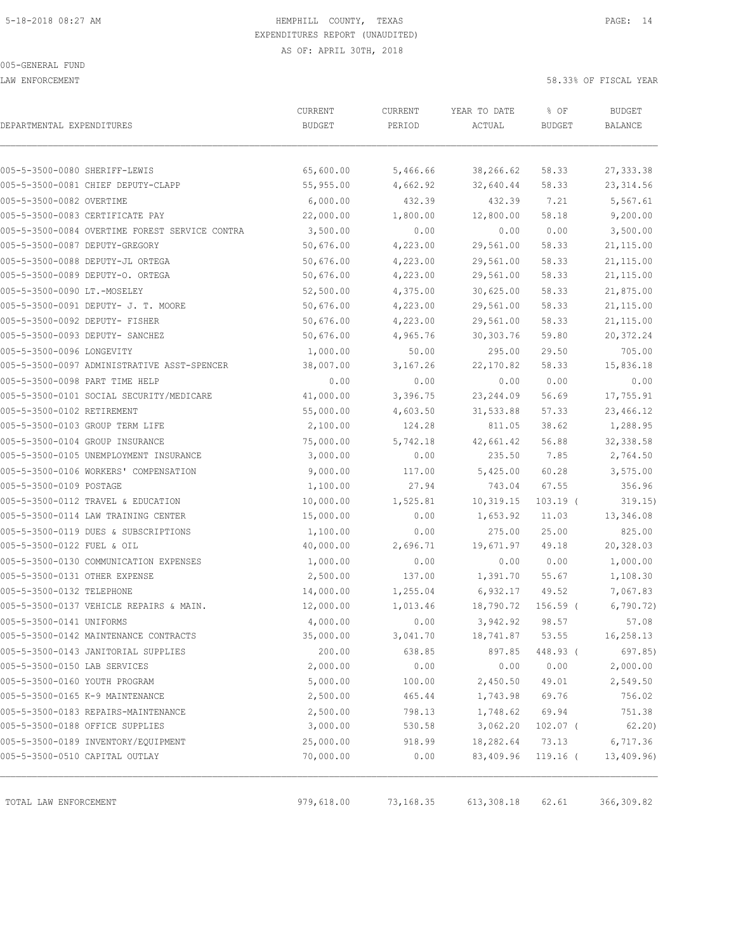LAW ENFORCEMENT 58.33% OF FISCAL YEAR

| DEPARTMENTAL EXPENDITURES                      | CURRENT<br><b>BUDGET</b> | CURRENT<br>PERIOD | YEAR TO DATE<br>ACTUAL | % OF<br><b>BUDGET</b> | <b>BUDGET</b><br>BALANCE |
|------------------------------------------------|--------------------------|-------------------|------------------------|-----------------------|--------------------------|
|                                                |                          |                   |                        |                       |                          |
| 005-5-3500-0080 SHERIFF-LEWIS                  | 65,600.00                | 5,466.66          | 38,266.62              | 58.33                 | 27, 333.38               |
| 005-5-3500-0081 CHIEF DEPUTY-CLAPP             | 55,955.00                | 4,662.92          | 32,640.44              | 58.33                 | 23, 314.56               |
| 005-5-3500-0082 OVERTIME                       | 6,000.00                 | 432.39            | 432.39                 | 7.21                  | 5,567.61                 |
| 005-5-3500-0083 CERTIFICATE PAY                | 22,000.00                | 1,800.00          | 12,800.00              | 58.18                 | 9,200.00                 |
| 005-5-3500-0084 OVERTIME FOREST SERVICE CONTRA | 3,500.00                 | 0.00              | 0.00                   | 0.00                  | 3,500.00                 |
| 005-5-3500-0087 DEPUTY-GREGORY                 | 50,676.00                | 4,223.00          | 29,561.00              | 58.33                 | 21, 115.00               |
| 005-5-3500-0088 DEPUTY-JL ORTEGA               | 50,676.00                | 4,223.00          | 29,561.00              | 58.33                 | 21,115.00                |
| 005-5-3500-0089 DEPUTY-O. ORTEGA               | 50,676.00                | 4,223.00          | 29,561.00              | 58.33                 | 21, 115.00               |
| 005-5-3500-0090 LT.-MOSELEY                    | 52,500.00                | 4,375.00          | 30,625.00              | 58.33                 | 21,875.00                |
| 005-5-3500-0091 DEPUTY- J. T. MOORE            | 50,676.00                | 4,223.00          | 29,561.00              | 58.33                 | 21, 115.00               |
| 005-5-3500-0092 DEPUTY- FISHER                 | 50,676.00                | 4,223.00          | 29,561.00              | 58.33                 | 21,115.00                |
| 005-5-3500-0093 DEPUTY- SANCHEZ                | 50,676.00                | 4,965.76          | 30, 303.76             | 59.80                 | 20,372.24                |
| 005-5-3500-0096 LONGEVITY                      | 1,000.00                 | 50.00             | 295.00                 | 29.50                 | 705.00                   |
| 005-5-3500-0097 ADMINISTRATIVE ASST-SPENCER    | 38,007.00                | 3,167.26          | 22, 170.82             | 58.33                 | 15,836.18                |
| 005-5-3500-0098 PART TIME HELP                 | 0.00                     | 0.00              | 0.00                   | 0.00                  | 0.00                     |
| 005-5-3500-0101 SOCIAL SECURITY/MEDICARE       | 41,000.00                | 3,396.75          | 23, 244.09             | 56.69                 | 17,755.91                |
| 005-5-3500-0102 RETIREMENT                     | 55,000.00                | 4,603.50          | 31,533.88              | 57.33                 | 23,466.12                |
| 005-5-3500-0103 GROUP TERM LIFE                | 2,100.00                 | 124.28            | 811.05                 | 38.62                 | 1,288.95                 |
| 005-5-3500-0104 GROUP INSURANCE                | 75,000.00                | 5,742.18          | 42,661.42              | 56.88                 | 32, 338.58               |
| 005-5-3500-0105 UNEMPLOYMENT INSURANCE         | 3,000.00                 | 0.00              | 235.50                 | 7.85                  | 2,764.50                 |
| 005-5-3500-0106 WORKERS' COMPENSATION          | 9,000.00                 | 117.00            | 5,425.00               | 60.28                 | 3,575.00                 |
| 005-5-3500-0109 POSTAGE                        | 1,100.00                 | 27.94             | 743.04                 | 67.55                 | 356.96                   |
| 005-5-3500-0112 TRAVEL & EDUCATION             | 10,000.00                | 1,525.81          | 10,319.15              | $103.19$ (            | 319.15)                  |
| 005-5-3500-0114 LAW TRAINING CENTER            | 15,000.00                | 0.00              | 1,653.92               | 11.03                 | 13,346.08                |
| 005-5-3500-0119 DUES & SUBSCRIPTIONS           | 1,100.00                 | 0.00              | 275.00                 | 25.00                 | 825.00                   |
| 005-5-3500-0122 FUEL & OIL                     | 40,000.00                | 2,696.71          | 19,671.97              | 49.18                 | 20,328.03                |
| 005-5-3500-0130 COMMUNICATION EXPENSES         | 1,000.00                 | 0.00              | 0.00                   | 0.00                  | 1,000.00                 |
| 005-5-3500-0131 OTHER EXPENSE                  | 2,500.00                 | 137.00            | 1,391.70               | 55.67                 | 1,108.30                 |
| 005-5-3500-0132 TELEPHONE                      | 14,000.00                | 1,255.04          | 6,932.17               | 49.52                 | 7,067.83                 |
| 005-5-3500-0137 VEHICLE REPAIRS & MAIN.        | 12,000.00                | 1,013.46          | 18,790.72              | $156.59$ (            | 6,790.72)                |
| 005-5-3500-0141 UNIFORMS                       | 4,000.00                 | 0.00              | 3,942.92               | 98.57                 | 57.08                    |
| 005-5-3500-0142 MAINTENANCE CONTRACTS          | 35,000.00                | 3,041.70          | 18,741.87              | 53.55                 | 16,258.13                |
| 005-5-3500-0143 JANITORIAL SUPPLIES            | 200.00                   | 638.85            | 897.85                 | 448.93 (              | 697.85)                  |
| 005-5-3500-0150 LAB SERVICES                   | 2,000.00                 | 0.00              | 0.00                   | 0.00                  | 2,000.00                 |
| 005-5-3500-0160 YOUTH PROGRAM                  | 5,000.00                 | 100.00            | 2,450.50               | 49.01                 | 2,549.50                 |
| 005-5-3500-0165 K-9 MAINTENANCE                | 2,500.00                 | 465.44            | 1,743.98               | 69.76                 | 756.02                   |
| 005-5-3500-0183 REPAIRS-MAINTENANCE            | 2,500.00                 | 798.13            | 1,748.62               | 69.94                 | 751.38                   |
| 005-5-3500-0188 OFFICE SUPPLIES                | 3,000.00                 | 530.58            | 3,062.20               | $102.07$ (            | 62.20)                   |
| 005-5-3500-0189 INVENTORY/EQUIPMENT            | 25,000.00                | 918.99            | 18,282.64              | 73.13                 | 6,717.36                 |
| 005-5-3500-0510 CAPITAL OUTLAY                 | 70,000.00                | 0.00              | 83,409.96              | $119.16$ (            | 13,409.96)               |
|                                                |                          |                   |                        |                       |                          |
| TOTAL LAW ENFORCEMENT                          | 979,618.00               | 73,168.35         | 613, 308.18            | 62.61                 | 366,309.82               |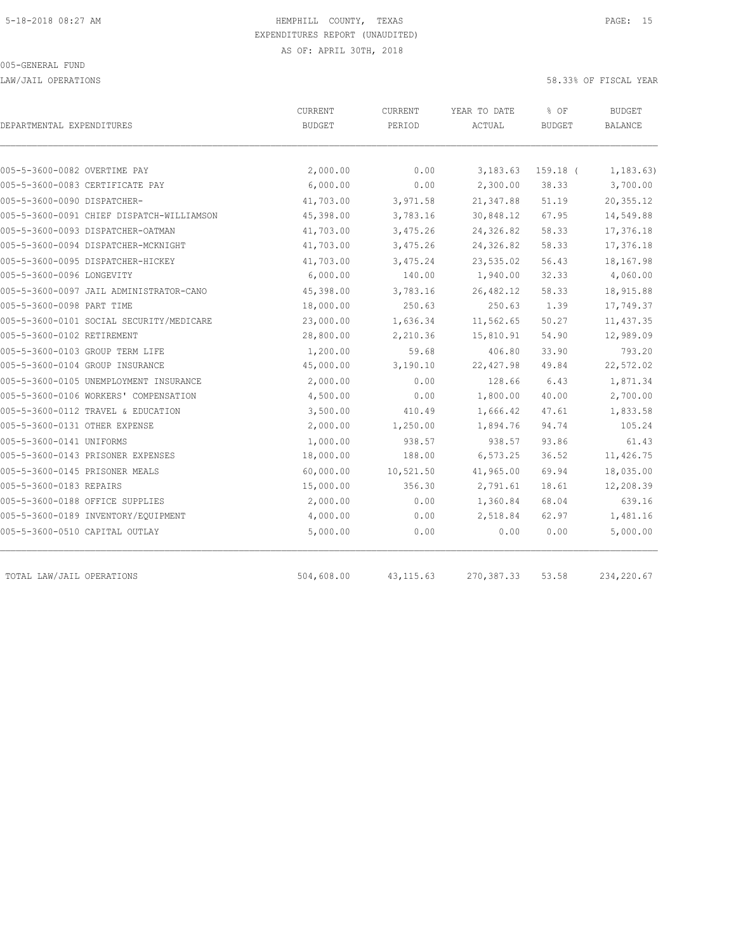LAW/JAIL OPERATIONS 58.33% OF FISCAL YEAR

| DEPARTMENTAL EXPENDITURES                 | CURRENT<br><b>BUDGET</b> | CURRENT<br>PERIOD | YEAR TO DATE<br>ACTUAL | % OF<br><b>BUDGET</b> | BUDGET<br><b>BALANCE</b> |
|-------------------------------------------|--------------------------|-------------------|------------------------|-----------------------|--------------------------|
|                                           |                          |                   |                        |                       |                          |
| 005-5-3600-0082 OVERTIME PAY              | 2,000.00                 | 0.00              | 3,183.63               | $159.18$ (            | 1, 183.63)               |
| 005-5-3600-0083 CERTIFICATE PAY           | 6,000.00                 | 0.00              | 2,300.00               | 38.33                 | 3,700.00                 |
| 005-5-3600-0090 DISPATCHER-               | 41,703.00                | 3,971.58          | 21,347.88              | 51.19                 | 20,355.12                |
| 005-5-3600-0091 CHIEF DISPATCH-WILLIAMSON | 45,398.00                | 3,783.16          | 30,848.12              | 67.95                 | 14,549.88                |
| 005-5-3600-0093 DISPATCHER-OATMAN         | 41,703.00                | 3,475.26          | 24,326.82              | 58.33                 | 17,376.18                |
| 005-5-3600-0094 DISPATCHER-MCKNIGHT       | 41,703.00                | 3,475.26          | 24,326.82              | 58.33                 | 17,376.18                |
| 005-5-3600-0095 DISPATCHER-HICKEY         | 41,703.00                | 3,475.24          | 23,535.02              | 56.43                 | 18,167.98                |
| 005-5-3600-0096 LONGEVITY                 | 6,000.00                 | 140.00            | 1,940.00               | 32.33                 | 4,060.00                 |
| 005-5-3600-0097 JAIL ADMINISTRATOR-CANO   | 45,398.00                | 3,783.16          | 26, 482.12             | 58.33                 | 18,915.88                |
| 005-5-3600-0098 PART TIME                 | 18,000.00                | 250.63            | 250.63                 | 1.39                  | 17,749.37                |
| 005-5-3600-0101 SOCIAL SECURITY/MEDICARE  | 23,000.00                | 1,636.34          | 11,562.65              | 50.27                 | 11, 437.35               |
| 005-5-3600-0102 RETIREMENT                | 28,800.00                | 2,210.36          | 15,810.91              | 54.90                 | 12,989.09                |
| 005-5-3600-0103 GROUP TERM LIFE           | 1,200.00                 | 59.68             | 406.80                 | 33.90                 | 793.20                   |
| 005-5-3600-0104 GROUP INSURANCE           | 45,000.00                | 3,190.10          | 22, 427.98             | 49.84                 | 22,572.02                |
| 005-5-3600-0105 UNEMPLOYMENT INSURANCE    | 2,000.00                 | 0.00              | 128.66                 | 6.43                  | 1,871.34                 |
| 005-5-3600-0106 WORKERS' COMPENSATION     | 4,500.00                 | 0.00              | 1,800.00               | 40.00                 | 2,700.00                 |
| 005-5-3600-0112 TRAVEL & EDUCATION        | 3,500.00                 | 410.49            | 1,666.42               | 47.61                 | 1,833.58                 |
| 005-5-3600-0131 OTHER EXPENSE             | 2,000.00                 | 1,250.00          | 1,894.76               | 94.74                 | 105.24                   |
| 005-5-3600-0141 UNIFORMS                  | 1,000.00                 | 938.57            | 938.57                 | 93.86                 | 61.43                    |
| 005-5-3600-0143 PRISONER EXPENSES         | 18,000.00                | 188.00            | 6, 573.25              | 36.52                 | 11,426.75                |
| 005-5-3600-0145 PRISONER MEALS            | 60,000.00                | 10,521.50         | 41,965.00              | 69.94                 | 18,035.00                |
| 005-5-3600-0183 REPAIRS                   | 15,000.00                | 356.30            | 2,791.61               | 18.61                 | 12,208.39                |
| 005-5-3600-0188 OFFICE SUPPLIES           | 2,000.00                 | 0.00              | 1,360.84               | 68.04                 | 639.16                   |
| 005-5-3600-0189 INVENTORY/EQUIPMENT       | 4,000.00                 | 0.00              | 2,518.84               | 62.97                 | 1,481.16                 |
| 005-5-3600-0510 CAPITAL OUTLAY            | 5,000.00                 | 0.00              | 0.00                   | 0.00                  | 5,000.00                 |
| TOTAL LAW/JAIL OPERATIONS                 | 504,608.00               | 43, 115.63        | 270, 387.33            | 53.58                 | 234,220.67               |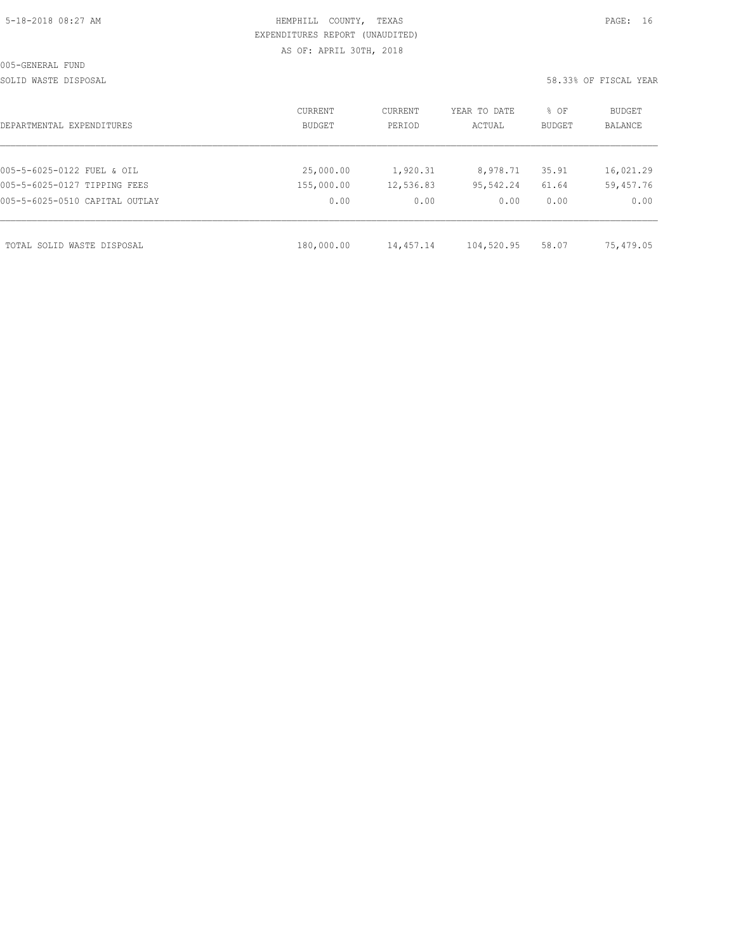|  | 5-18-2018 08:27 AM |  |
|--|--------------------|--|
|  |                    |  |

### HEMPHILL COUNTY, TEXAS **Example 20:27 AM HEMPHILL** COUNTY, TEXAS EXPENDITURES REPORT (UNAUDITED) AS OF: APRIL 30TH, 2018

#### SOLID WASTE DISPOSAL 58.33% OF FISCAL YEAR

| DEPARTMENTAL EXPENDITURES      | CURRENT<br>BUDGET | CURRENT<br>PERIOD | YEAR TO DATE<br>ACTUAL | % OF<br>BUDGET | BUDGET<br><b>BALANCE</b> |
|--------------------------------|-------------------|-------------------|------------------------|----------------|--------------------------|
|                                |                   |                   |                        |                |                          |
| 005-5-6025-0122 FUEL & OIL     | 25,000.00         | 1,920.31          | 8,978.71               | 35.91          | 16,021.29                |
| 005-5-6025-0127 TIPPING FEES   | 155,000.00        | 12,536.83         | 95,542.24              | 61.64          | 59,457.76                |
| 005-5-6025-0510 CAPITAL OUTLAY | 0.00              | 0.00              | 0.00                   | 0.00           | 0.00                     |
| TOTAL SOLID WASTE DISPOSAL     | 180,000.00        | 14,457.14         | 104,520.95             | 58.07          | 75,479.05                |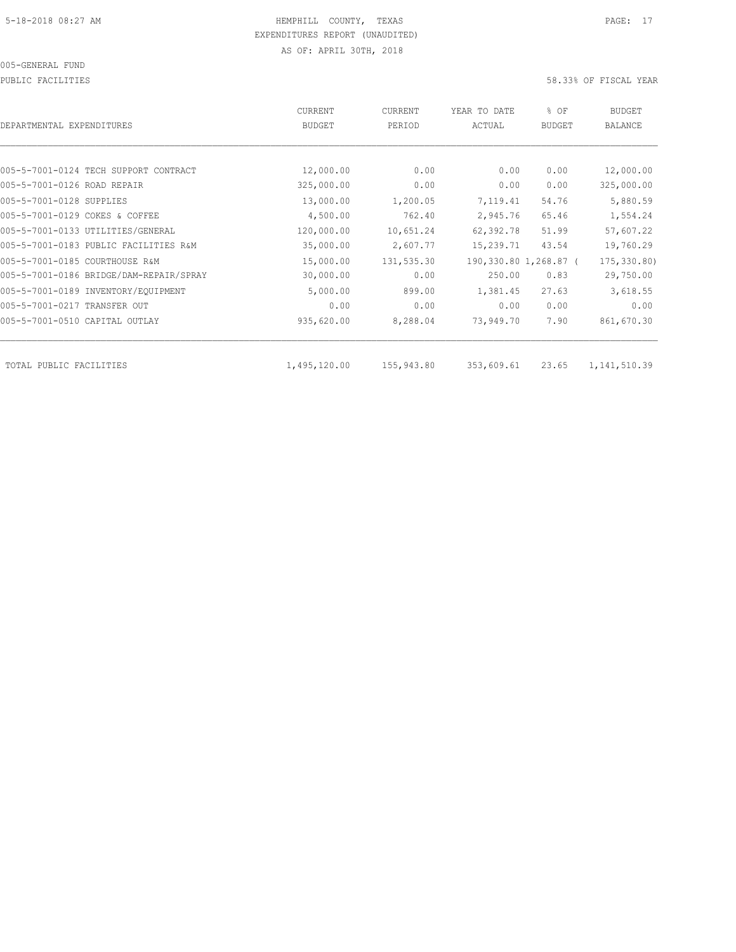PUBLIC FACILITIES 58.33% OF FISCAL YEAR

|                                         | <b>CURRENT</b> | <b>CURRENT</b> | YEAR TO DATE | % OF                  | BUDGET         |
|-----------------------------------------|----------------|----------------|--------------|-----------------------|----------------|
| DEPARTMENTAL EXPENDITURES               | <b>BUDGET</b>  | PERIOD         | ACTUAL       | <b>BUDGET</b>         | <b>BALANCE</b> |
|                                         |                |                |              |                       |                |
| 005-5-7001-0124 TECH SUPPORT CONTRACT   | 12,000.00      | 0.00           | 0.00         | 0.00                  | 12,000.00      |
| 005-5-7001-0126 ROAD REPAIR             | 325,000.00     | 0.00           | 0.00         | 0.00                  | 325,000.00     |
| 005-5-7001-0128 SUPPLIES                | 13,000.00      | 1,200.05       | 7,119.41     | 54.76                 | 5,880.59       |
| 005-5-7001-0129 COKES & COFFEE          | 4,500.00       | 762.40         | 2,945.76     | 65.46                 | 1,554.24       |
| 005-5-7001-0133 UTILITIES/GENERAL       | 120,000.00     | 10,651.24      | 62,392.78    | 51.99                 | 57,607.22      |
| 005-5-7001-0183 PUBLIC FACILITIES R&M   | 35,000.00      | 2,607.77       | 15,239.71    | 43.54                 | 19,760.29      |
| 005-5-7001-0185 COURTHOUSE R&M          | 15,000.00      | 131,535.30     |              | 190,330.80 1,268.87 ( | 175,330.80)    |
| 005-5-7001-0186 BRIDGE/DAM-REPAIR/SPRAY | 30,000.00      | 0.00           | 250.00       | 0.83                  | 29,750.00      |
| 005-5-7001-0189 INVENTORY/EQUIPMENT     | 5,000.00       | 899.00         | 1,381.45     | 27.63                 | 3,618.55       |
| 005-5-7001-0217 TRANSFER OUT            | 0.00           | 0.00           | 0.00         | 0.00                  | 0.00           |
| 005-5-7001-0510 CAPITAL OUTLAY          | 935,620.00     | 8,288.04       | 73,949.70    | 7.90                  | 861,670.30     |
|                                         |                |                |              |                       |                |
| TOTAL PUBLIC FACILITIES                 | 1,495,120.00   | 155,943.80     | 353,609.61   | 23.65                 | 1, 141, 510.39 |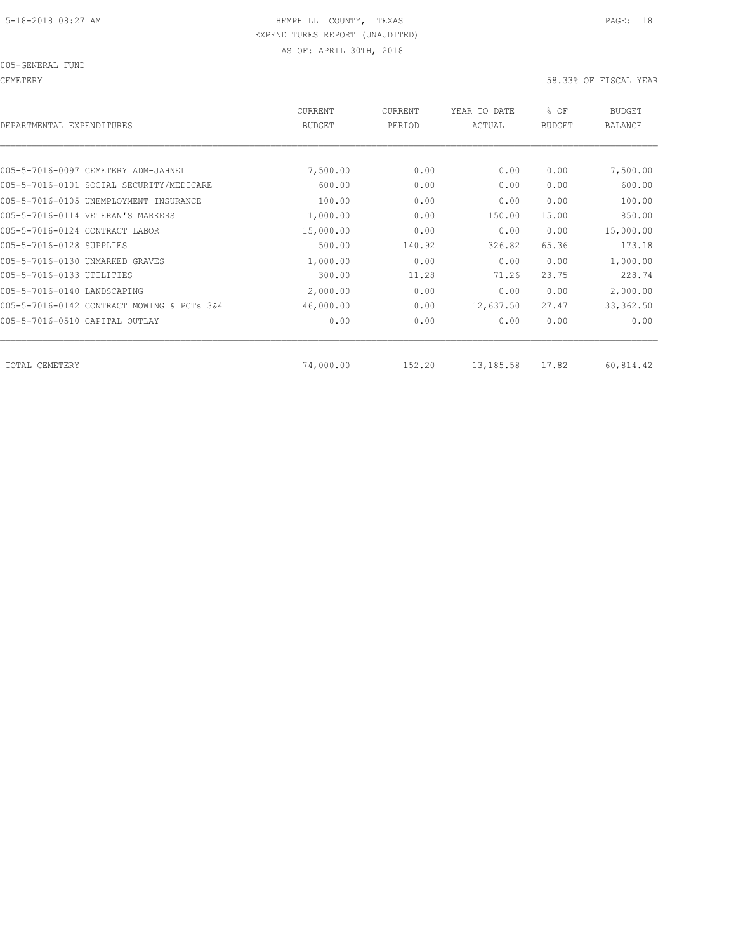CEMETERY 58.33% OF FISCAL YEAR

| DEPARTMENTAL EXPENDITURES                  | <b>CURRENT</b><br><b>BUDGET</b> | CURRENT<br>PERIOD | YEAR TO DATE<br>ACTUAL | % OF<br><b>BUDGET</b> | BUDGET<br><b>BALANCE</b> |
|--------------------------------------------|---------------------------------|-------------------|------------------------|-----------------------|--------------------------|
|                                            |                                 |                   |                        |                       |                          |
| 005-5-7016-0097 CEMETERY ADM-JAHNEL        | 7,500.00                        | 0.00              | 0.00                   | 0.00                  | 7,500.00                 |
| 005-5-7016-0101 SOCIAL SECURITY/MEDICARE   | 600.00                          | 0.00              | 0.00                   | 0.00                  | 600.00                   |
| 005-5-7016-0105 UNEMPLOYMENT INSURANCE     | 100.00                          | 0.00              | 0.00                   | 0.00                  | 100.00                   |
| 005-5-7016-0114 VETERAN'S MARKERS          | 1,000.00                        | 0.00              | 150.00                 | 15.00                 | 850.00                   |
| 005-5-7016-0124 CONTRACT LABOR             | 15,000.00                       | 0.00              | 0.00                   | 0.00                  | 15,000.00                |
| 005-5-7016-0128 SUPPLIES                   | 500.00                          | 140.92            | 326.82                 | 65.36                 | 173.18                   |
| 005-5-7016-0130 UNMARKED GRAVES            | 1,000.00                        | 0.00              | 0.00                   | 0.00                  | 1,000.00                 |
| 005-5-7016-0133 UTILITIES                  | 300.00                          | 11.28             | 71.26                  | 23.75                 | 228.74                   |
| 005-5-7016-0140 LANDSCAPING                | 2,000.00                        | 0.00              | 0.00                   | 0.00                  | 2,000.00                 |
| 005-5-7016-0142 CONTRACT MOWING & PCTs 3&4 | 46,000.00                       | 0.00              | 12,637.50              | 27.47                 | 33, 362.50               |
| 005-5-7016-0510 CAPITAL OUTLAY             | 0.00                            | 0.00              | 0.00                   | 0.00                  | 0.00                     |
| TOTAL CEMETERY                             | 74,000.00                       | 152.20            | 13,185.58              | 17.82                 | 60,814.42                |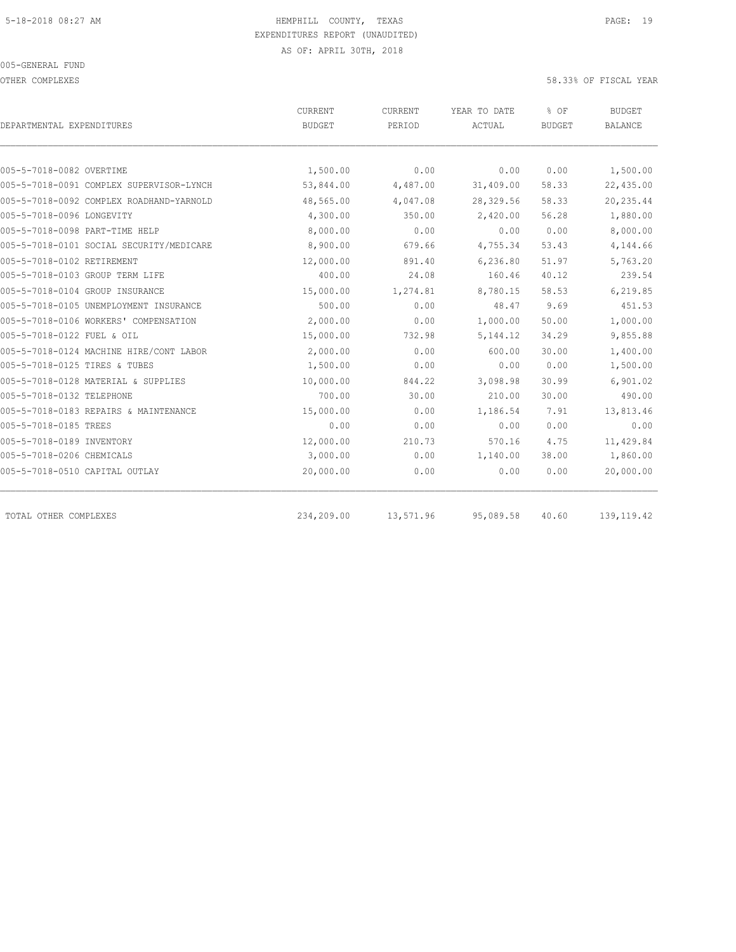OTHER COMPLEXES 58.33% OF FISCAL YEAR

| DEPARTMENTAL EXPENDITURES                | <b>CURRENT</b><br><b>BUDGET</b> | <b>CURRENT</b><br>PERIOD | YEAR TO DATE<br>ACTUAL | % OF<br><b>BUDGET</b> | <b>BUDGET</b><br><b>BALANCE</b> |
|------------------------------------------|---------------------------------|--------------------------|------------------------|-----------------------|---------------------------------|
|                                          |                                 |                          |                        |                       |                                 |
| 005-5-7018-0082 OVERTIME                 | 1,500.00                        | 0.00                     | 0.00                   | 0.00                  | 1,500.00                        |
| 005-5-7018-0091 COMPLEX SUPERVISOR-LYNCH | 53,844.00                       | 4,487.00                 | 31,409.00              | 58.33                 | 22,435.00                       |
| 005-5-7018-0092 COMPLEX ROADHAND-YARNOLD | 48,565.00                       | 4,047.08                 | 28,329.56              | 58.33                 | 20, 235.44                      |
| 005-5-7018-0096 LONGEVITY                | 4,300.00                        | 350.00                   | 2,420.00               | 56.28                 | 1,880.00                        |
| 005-5-7018-0098 PART-TIME HELP           | 8,000.00                        | 0.00                     | 0.00                   | 0.00                  | 8,000.00                        |
| 005-5-7018-0101 SOCIAL SECURITY/MEDICARE | 8,900.00                        | 679.66                   | 4,755.34               | 53.43                 | 4,144.66                        |
| 005-5-7018-0102 RETIREMENT               | 12,000.00                       | 891.40                   | 6,236.80               | 51.97                 | 5,763.20                        |
| 005-5-7018-0103 GROUP TERM LIFE          | 400.00                          | 24.08                    | 160.46                 | 40.12                 | 239.54                          |
| 005-5-7018-0104 GROUP INSURANCE          | 15,000.00                       | 1,274.81                 | 8,780.15               | 58.53                 | 6,219.85                        |
| 005-5-7018-0105 UNEMPLOYMENT INSURANCE   | 500.00                          | 0.00                     | 48.47                  | 9.69                  | 451.53                          |
| 005-5-7018-0106 WORKERS' COMPENSATION    | 2,000.00                        | 0.00                     | 1,000.00               | 50.00                 | 1,000.00                        |
| 005-5-7018-0122 FUEL & OIL               | 15,000.00                       | 732.98                   | 5, 144.12              | 34.29                 | 9,855.88                        |
| 005-5-7018-0124 MACHINE HIRE/CONT LABOR  | 2,000.00                        | 0.00                     | 600.00                 | 30.00                 | 1,400.00                        |
| 005-5-7018-0125 TIRES & TUBES            | 1,500.00                        | 0.00                     | 0.00                   | 0.00                  | 1,500.00                        |
| 005-5-7018-0128 MATERIAL & SUPPLIES      | 10,000.00                       | 844.22                   | 3,098.98               | 30.99                 | 6,901.02                        |
| 005-5-7018-0132 TELEPHONE                | 700.00                          | 30.00                    | 210.00                 | 30.00                 | 490.00                          |
| 005-5-7018-0183 REPAIRS & MAINTENANCE    | 15,000.00                       | 0.00                     | 1,186.54               | 7.91                  | 13,813.46                       |
| 005-5-7018-0185 TREES                    | 0.00                            | 0.00                     | 0.00                   | 0.00                  | 0.00                            |
| 005-5-7018-0189 INVENTORY                | 12,000.00                       | 210.73                   | 570.16                 | 4.75                  | 11,429.84                       |
| 005-5-7018-0206 CHEMICALS                | 3,000.00                        | 0.00                     | 1,140.00               | 38.00                 | 1,860.00                        |
| 005-5-7018-0510 CAPITAL OUTLAY           | 20,000.00                       | 0.00                     | 0.00                   | 0.00                  | 20,000.00                       |
| TOTAL OTHER COMPLEXES                    | 234,209.00                      | 13,571.96                | 95,089.58              | 40.60                 | 139, 119.42                     |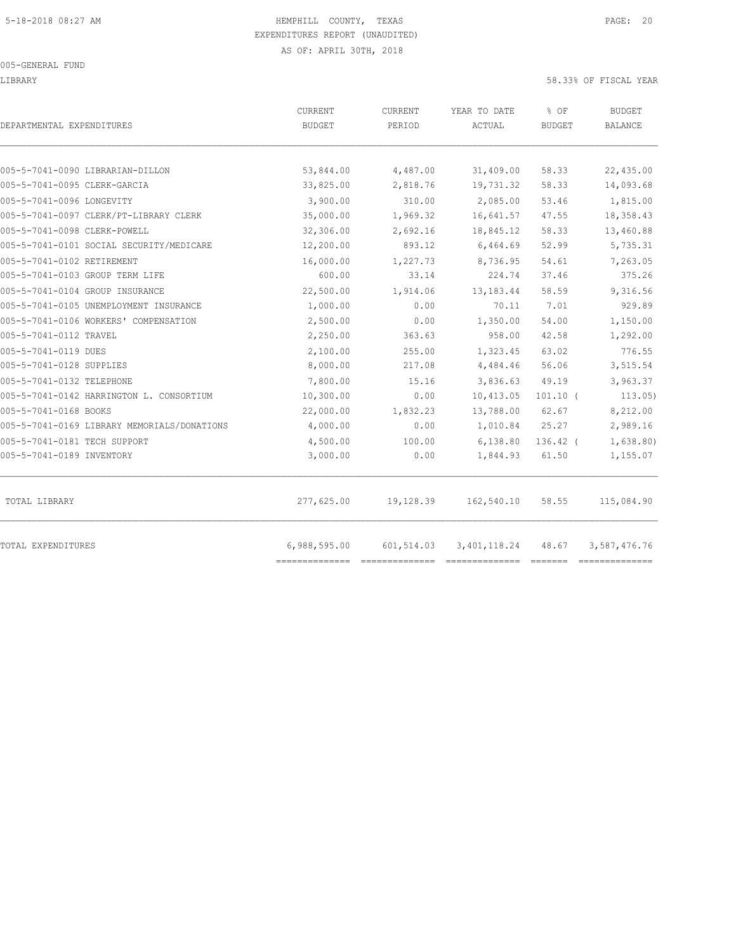LIBRARY 58.33% OF FISCAL YEAR

| DEPARTMENTAL EXPENDITURES                   | CURRENT<br><b>BUDGET</b> | CURRENT<br>PERIOD | YEAR TO DATE<br>ACTUAL | % OF<br><b>BUDGET</b> | <b>BUDGET</b><br><b>BALANCE</b> |
|---------------------------------------------|--------------------------|-------------------|------------------------|-----------------------|---------------------------------|
| 005-5-7041-0090 LIBRARIAN-DILLON            | 53,844.00                | 4,487.00          | 31,409.00              | 58.33                 | 22,435.00                       |
| 005-5-7041-0095 CLERK-GARCIA                | 33,825.00                | 2,818.76          | 19,731.32              | 58.33                 | 14,093.68                       |
| 005-5-7041-0096 LONGEVITY                   | 3,900.00                 | 310.00            | 2,085.00               | 53.46                 | 1,815.00                        |
| 005-5-7041-0097 CLERK/PT-LIBRARY CLERK      | 35,000.00                | 1,969.32          | 16,641.57              | 47.55                 | 18,358.43                       |
| 005-5-7041-0098 CLERK-POWELL                | 32,306.00                | 2,692.16          | 18,845.12              | 58.33                 | 13,460.88                       |
| 005-5-7041-0101 SOCIAL SECURITY/MEDICARE    | 12,200.00                | 893.12            | 6,464.69               | 52.99                 | 5,735.31                        |
| 005-5-7041-0102 RETIREMENT                  | 16,000.00                | 1,227.73          | 8,736.95               | 54.61                 | 7,263.05                        |
| 005-5-7041-0103 GROUP TERM LIFE             | 600.00                   | 33.14             | 224.74                 | 37.46                 | 375.26                          |
| 005-5-7041-0104 GROUP INSURANCE             | 22,500.00                | 1,914.06          | 13, 183. 44            | 58.59                 | 9,316.56                        |
| 005-5-7041-0105 UNEMPLOYMENT INSURANCE      | 1,000.00                 | 0.00              | 70.11                  | 7.01                  | 929.89                          |
| 005-5-7041-0106 WORKERS' COMPENSATION       | 2,500.00                 | 0.00              | 1,350.00               | 54.00                 | 1,150.00                        |
| 005-5-7041-0112 TRAVEL                      | 2,250.00                 | 363.63            | 958.00                 | 42.58                 | 1,292.00                        |
| 005-5-7041-0119 DUES                        | 2,100.00                 | 255.00            | 1,323.45               | 63.02                 | 776.55                          |
| 005-5-7041-0128 SUPPLIES                    | 8,000.00                 | 217.08            | 4,484.46               | 56.06                 | 3,515.54                        |
| 005-5-7041-0132 TELEPHONE                   | 7,800.00                 | 15.16             | 3,836.63               | 49.19                 | 3,963.37                        |
| 005-5-7041-0142 HARRINGTON L. CONSORTIUM    | 10,300.00                | 0.00              | 10,413.05              | $101.10$ (            | 113.05)                         |
| 005-5-7041-0168 BOOKS                       | 22,000.00                | 1,832.23          | 13,788.00              | 62.67                 | 8,212.00                        |
| 005-5-7041-0169 LIBRARY MEMORIALS/DONATIONS | 4,000.00                 | 0.00              | 1,010.84               | 25.27                 | 2,989.16                        |
| 005-5-7041-0181 TECH SUPPORT                | 4,500.00                 | 100.00            | 6,138.80               | $136.42$ (            | 1,638.80)                       |
| 005-5-7041-0189 INVENTORY                   | 3,000.00                 | 0.00              | 1,844.93               | 61.50                 | 1,155.07                        |
| TOTAL LIBRARY                               | 277,625.00               | 19,128.39         | 162,540.10             | 58.55                 | 115,084.90                      |
| TOTAL EXPENDITURES                          | 6,988,595.00             | 601,514.03        | 3, 401, 118.24         | 48.67                 | 3,587,476.76                    |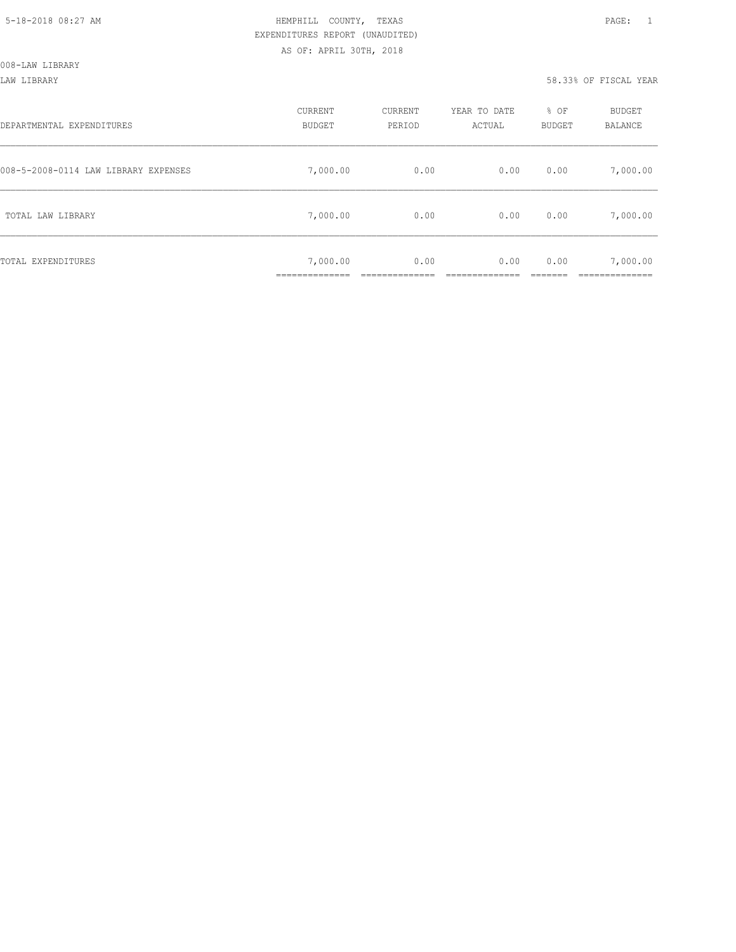008-LAW LIBRARY

LAW LIBRARY 58.33% OF FISCAL YEAR

| DEPARTMENTAL EXPENDITURES            | CURRENT<br><b>BUDGET</b>                  | CURRENT<br>PERIOD | YEAR TO DATE<br>ACTUAL | % OF<br><b>BUDGET</b> | BUDGET<br>BALANCE |
|--------------------------------------|-------------------------------------------|-------------------|------------------------|-----------------------|-------------------|
| 008-5-2008-0114 LAW LIBRARY EXPENSES | 7,000.00                                  | 0.00              | 0.00                   | 0.00                  | 7,000.00          |
| TOTAL LAW LIBRARY                    | 7,000.00                                  | 0.00              | 0.00                   | 0.00                  | 7,000.00          |
| TOTAL EXPENDITURES                   | 7,000.00<br>. _ _ _ _ _ _ _ _ _ _ _ _ _ _ | 0.00              | 0.00                   | 0.00                  | 7,000.00          |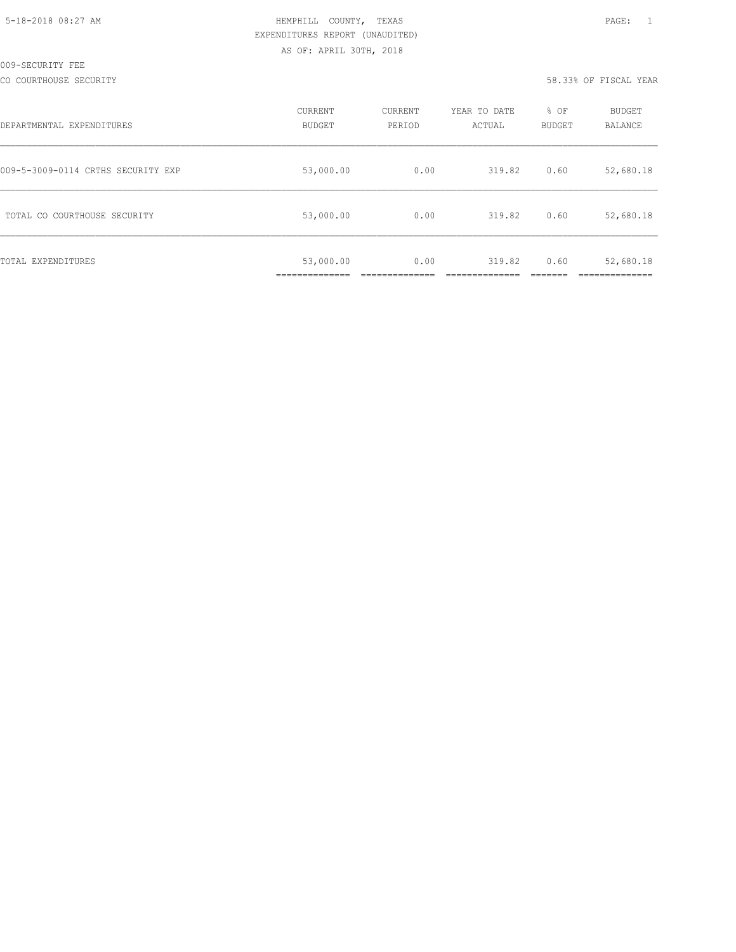CO COURTHOUSE SECURITY 58.33% OF FISCAL YEAR

| DEPARTMENTAL EXPENDITURES          | CURRENT<br><b>BUDGET</b> | CURRENT<br>PERIOD | YEAR TO DATE<br>ACTUAL | % OF<br><b>BUDGET</b> | BUDGET<br>BALANCE |
|------------------------------------|--------------------------|-------------------|------------------------|-----------------------|-------------------|
| 009-5-3009-0114 CRTHS SECURITY EXP | 53,000.00                | 0.00              | 319.82                 | 0.60                  | 52,680.18         |
| TOTAL CO COURTHOUSE SECURITY       | 53,000.00                | 0.00              | 319.82                 | 0.60                  | 52,680.18         |
| TOTAL EXPENDITURES                 | 53,000.00                | 0.00              | 319.82                 | 0.60                  | 52,680.18         |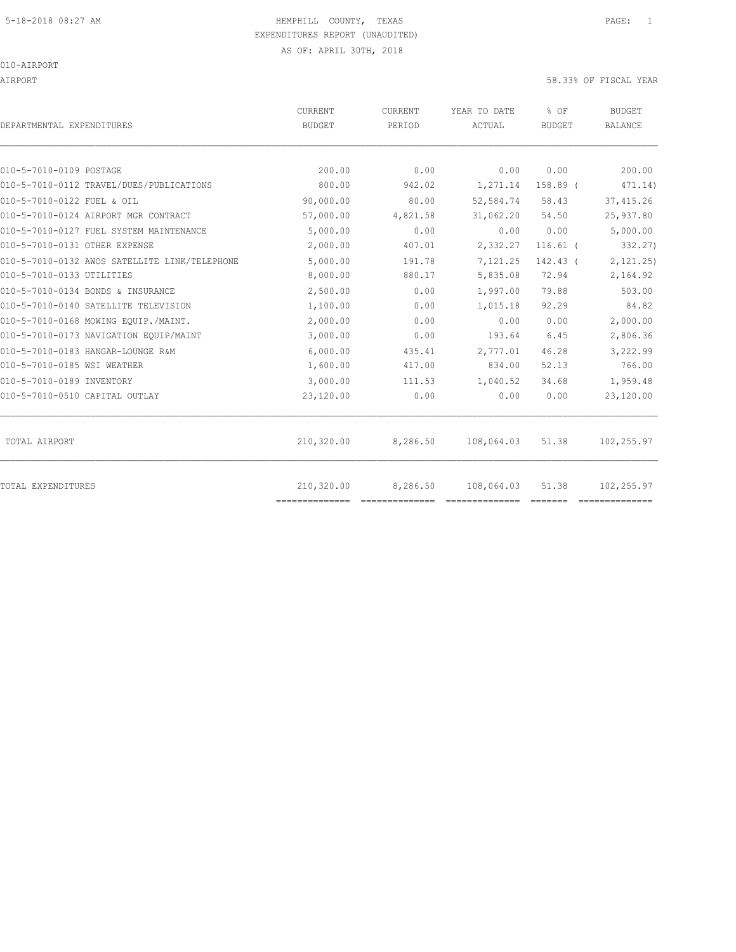AIRPORT 58.33% OF FISCAL YEAR

| DEPARTMENTAL EXPENDITURES                     | <b>CURRENT</b><br><b>BUDGET</b> | CURRENT<br>PERIOD | YEAR TO DATE<br>ACTUAL | % OF<br><b>BUDGET</b> | <b>BUDGET</b><br><b>BALANCE</b> |
|-----------------------------------------------|---------------------------------|-------------------|------------------------|-----------------------|---------------------------------|
|                                               |                                 |                   |                        |                       |                                 |
| 010-5-7010-0109 POSTAGE                       | 200.00                          | 0.00              | 0.00                   | 0.00                  | 200.00                          |
| 010-5-7010-0112 TRAVEL/DUES/PUBLICATIONS      | 800.00                          | 942.02            | 1,271.14               | 158.89 (              | 471.14)                         |
| 010-5-7010-0122 FUEL & OIL                    | 90,000.00                       | 80.00             | 52,584.74              | 58.43                 | 37, 415.26                      |
| 010-5-7010-0124 AIRPORT MGR CONTRACT          | 57,000.00                       | 4,821.58          | 31,062.20              | 54.50                 | 25,937.80                       |
| 010-5-7010-0127 FUEL SYSTEM MAINTENANCE       | 5,000.00                        | 0.00              | 0.00                   | 0.00                  | 5,000.00                        |
| 010-5-7010-0131 OTHER EXPENSE                 | 2,000.00                        | 407.01            | 2,332.27               | $116.61$ (            | 332.27)                         |
| 010-5-7010-0132 AWOS SATELLITE LINK/TELEPHONE | 5,000.00                        | 191.78            | 7,121.25               | 142.43 (              | 2,121.25)                       |
| 010-5-7010-0133 UTILITIES                     | 8,000.00                        | 880.17            | 5,835.08               | 72.94                 | 2,164.92                        |
| 010-5-7010-0134 BONDS & INSURANCE             | 2,500.00                        | 0.00              | 1,997.00               | 79.88                 | 503.00                          |
| 010-5-7010-0140 SATELLITE TELEVISION          | 1,100.00                        | 0.00              | 1,015.18               | 92.29                 | 84.82                           |
| 010-5-7010-0168 MOWING EQUIP./MAINT.          | 2,000.00                        | 0.00              | 0.00                   | 0.00                  | 2,000.00                        |
| 010-5-7010-0173 NAVIGATION EQUIP/MAINT        | 3,000.00                        | 0.00              | 193.64                 | 6.45                  | 2,806.36                        |
| 010-5-7010-0183 HANGAR-LOUNGE R&M             | 6,000.00                        | 435.41            | 2,777.01               | 46.28                 | 3,222.99                        |
| 010-5-7010-0185 WSI WEATHER                   | 1,600.00                        | 417.00            | 834.00                 | 52.13                 | 766.00                          |
| 010-5-7010-0189 INVENTORY                     | 3,000.00                        | 111.53            | 1,040.52               | 34.68                 | 1,959.48                        |
| 010-5-7010-0510 CAPITAL OUTLAY                | 23,120.00                       | 0.00              | 0.00                   | 0.00                  | 23,120.00                       |
| TOTAL AIRPORT                                 | 210,320.00                      | 8,286.50          | 108,064.03             | 51.38                 | 102,255.97                      |
| <b>TOTAL EXPENDITURES</b>                     | 210,320.00<br>==============    | 8,286.50          | 108,064.03             | 51.38                 | 102,255.97                      |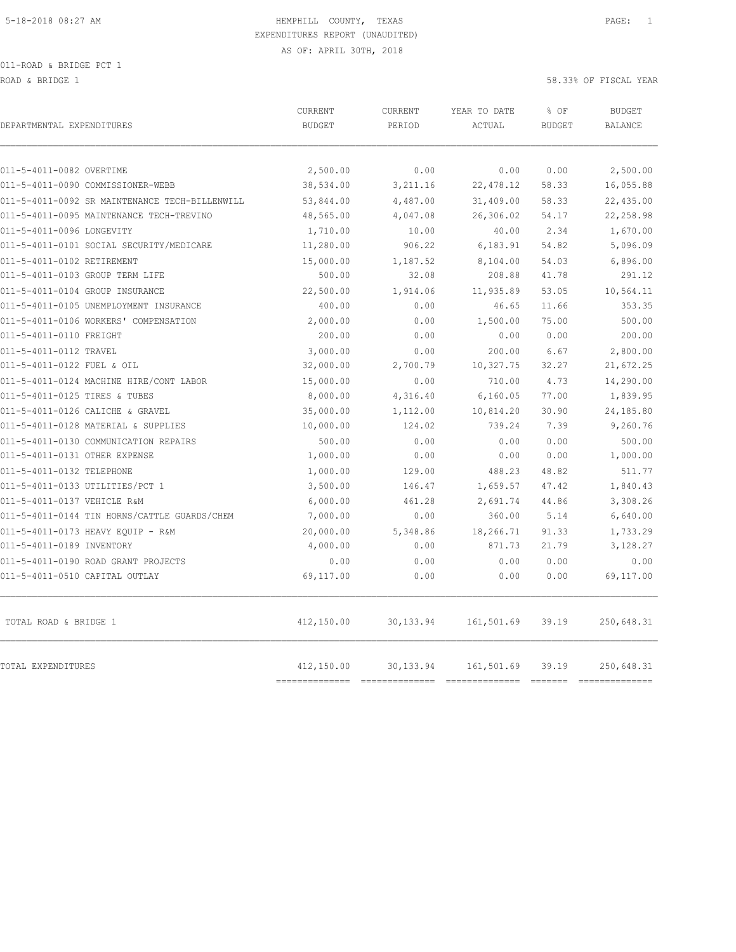ROAD & BRIDGE 1 58.33% OF FISCAL YEAR

| DEPARTMENTAL EXPENDITURES                      | <b>CURRENT</b><br><b>BUDGET</b> | CURRENT<br>PERIOD | YEAR TO DATE<br>ACTUAL | % OF<br><b>BUDGET</b> | <b>BUDGET</b><br><b>BALANCE</b> |
|------------------------------------------------|---------------------------------|-------------------|------------------------|-----------------------|---------------------------------|
| 011-5-4011-0082 OVERTIME                       | 2,500.00                        | 0.00              | 0.00                   | 0.00                  | 2,500.00                        |
| 011-5-4011-0090 COMMISSIONER-WEBB              | 38,534.00                       | 3,211.16          | 22, 478.12             | 58.33                 | 16,055.88                       |
| 011-5-4011-0092 SR MAINTENANCE TECH-BILLENWILL | 53,844.00                       | 4,487.00          | 31,409.00              | 58.33                 | 22,435.00                       |
| 011-5-4011-0095 MAINTENANCE TECH-TREVINO       | 48,565.00                       | 4,047.08          | 26,306.02              | 54.17                 | 22,258.98                       |
| 011-5-4011-0096 LONGEVITY                      | 1,710.00                        | 10.00             | 40.00                  | 2.34                  | 1,670.00                        |
| 011-5-4011-0101 SOCIAL SECURITY/MEDICARE       | 11,280.00                       | 906.22            | 6,183.91               | 54.82                 | 5,096.09                        |
| 011-5-4011-0102 RETIREMENT                     | 15,000.00                       | 1,187.52          | 8,104.00               | 54.03                 | 6,896.00                        |
| 011-5-4011-0103 GROUP TERM LIFE                | 500.00                          | 32.08             | 208.88                 | 41.78                 | 291.12                          |
| 011-5-4011-0104 GROUP INSURANCE                | 22,500.00                       | 1,914.06          | 11,935.89              | 53.05                 | 10,564.11                       |
| 011-5-4011-0105 UNEMPLOYMENT INSURANCE         | 400.00                          | 0.00              | 46.65                  | 11.66                 | 353.35                          |
| 011-5-4011-0106 WORKERS' COMPENSATION          | 2,000.00                        | 0.00              | 1,500.00               | 75.00                 | 500.00                          |
| 011-5-4011-0110 FREIGHT                        | 200.00                          | 0.00              | 0.00                   | 0.00                  | 200.00                          |
| 011-5-4011-0112 TRAVEL                         | 3,000.00                        | 0.00              | 200.00                 | 6.67                  | 2,800.00                        |
| 011-5-4011-0122 FUEL & OIL                     | 32,000.00                       | 2,700.79          | 10,327.75              | 32.27                 | 21,672.25                       |
| 011-5-4011-0124 MACHINE HIRE/CONT LABOR        | 15,000.00                       | 0.00              | 710.00                 | 4.73                  | 14,290.00                       |
| 011-5-4011-0125 TIRES & TUBES                  | 8,000.00                        | 4,316.40          | 6, 160.05              | 77.00                 | 1,839.95                        |
| 011-5-4011-0126 CALICHE & GRAVEL               | 35,000.00                       | 1,112.00          | 10,814.20              | 30.90                 | 24,185.80                       |
| 011-5-4011-0128 MATERIAL & SUPPLIES            | 10,000.00                       | 124.02            | 739.24                 | 7.39                  | 9,260.76                        |
| 011-5-4011-0130 COMMUNICATION REPAIRS          | 500.00                          | 0.00              | 0.00                   | 0.00                  | 500.00                          |
| 011-5-4011-0131 OTHER EXPENSE                  | 1,000.00                        | 0.00              | 0.00                   | 0.00                  | 1,000.00                        |
| 011-5-4011-0132 TELEPHONE                      | 1,000.00                        | 129.00            | 488.23                 | 48.82                 | 511.77                          |
| 011-5-4011-0133 UTILITIES/PCT 1                | 3,500.00                        | 146.47            | 1,659.57               | 47.42                 | 1,840.43                        |
| 011-5-4011-0137 VEHICLE R&M                    | 6,000.00                        | 461.28            | 2,691.74               | 44.86                 | 3,308.26                        |
| 011-5-4011-0144 TIN HORNS/CATTLE GUARDS/CHEM   | 7,000.00                        | 0.00              | 360.00                 | 5.14                  | 6,640.00                        |
| 011-5-4011-0173 HEAVY EOUIP - R&M              | 20,000.00                       | 5,348.86          | 18,266.71              | 91.33                 | 1,733.29                        |
| 011-5-4011-0189 INVENTORY                      | 4,000.00                        | 0.00              | 871.73                 | 21.79                 | 3,128.27                        |
| 011-5-4011-0190 ROAD GRANT PROJECTS            | 0.00                            | 0.00              | 0.00                   | 0.00                  | 0.00                            |
| 011-5-4011-0510 CAPITAL OUTLAY                 | 69,117.00                       | 0.00              | 0.00                   | 0.00                  | 69,117.00                       |
| TOTAL ROAD & BRIDGE 1                          | 412,150.00                      | 30,133.94         | 161,501.69             | 39.19                 | 250,648.31                      |
| TOTAL EXPENDITURES                             | 412,150.00                      | 30, 133.94        | 161,501.69             | 39.19                 | 250,648.31                      |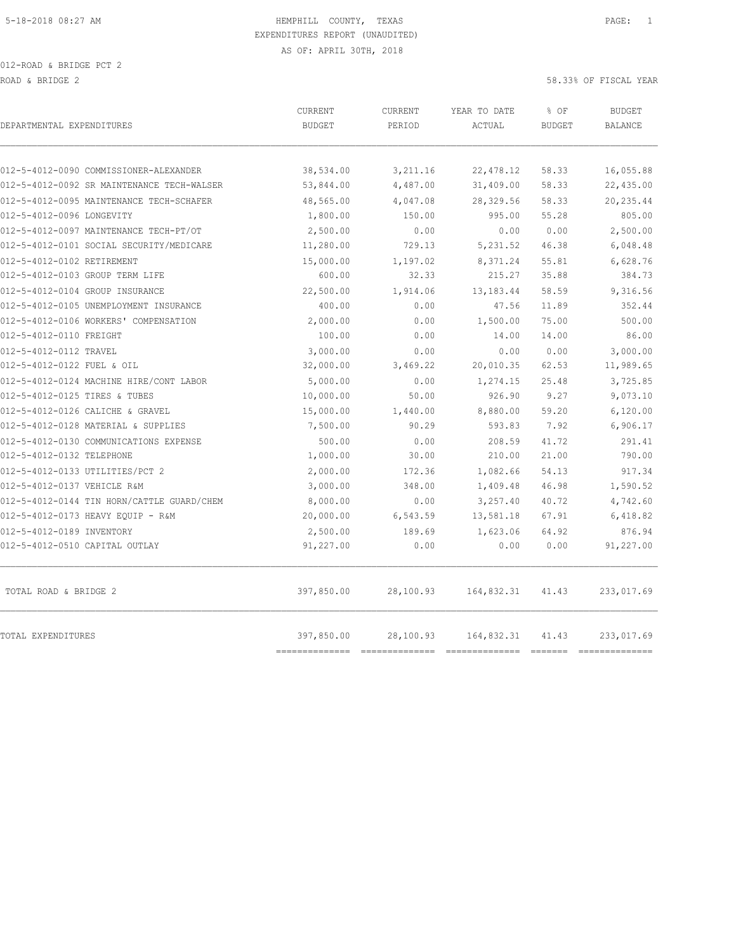| DEPARTMENTAL EXPENDITURES                  | <b>CURRENT</b><br><b>BUDGET</b> | CURRENT<br>PERIOD | YEAR TO DATE<br>ACTUAL | % OF<br><b>BUDGET</b> | <b>BUDGET</b><br><b>BALANCE</b> |
|--------------------------------------------|---------------------------------|-------------------|------------------------|-----------------------|---------------------------------|
|                                            |                                 |                   |                        |                       |                                 |
| 012-5-4012-0090 COMMISSIONER-ALEXANDER     | 38,534.00                       | 3,211.16          | 22, 478.12             | 58.33                 | 16,055.88                       |
| 012-5-4012-0092 SR MAINTENANCE TECH-WALSER | 53,844.00                       | 4,487.00          | 31,409.00              | 58.33                 | 22,435.00                       |
| 012-5-4012-0095 MAINTENANCE TECH-SCHAFER   | 48,565.00                       | 4,047.08          | 28,329.56              | 58.33                 | 20, 235.44                      |
| 012-5-4012-0096 LONGEVITY                  | 1,800.00                        | 150.00            | 995.00                 | 55.28                 | 805.00                          |
| 012-5-4012-0097 MAINTENANCE TECH-PT/OT     | 2,500.00                        | 0.00              | 0.00                   | 0.00                  | 2,500.00                        |
| 012-5-4012-0101 SOCIAL SECURITY/MEDICARE   | 11,280.00                       | 729.13            | 5, 231.52              | 46.38                 | 6,048.48                        |
| 012-5-4012-0102 RETIREMENT                 | 15,000.00                       | 1,197.02          | 8,371.24               | 55.81                 | 6,628.76                        |
| 012-5-4012-0103 GROUP TERM LIFE            | 600.00                          | 32.33             | 215.27                 | 35.88                 | 384.73                          |
| 012-5-4012-0104 GROUP INSURANCE            | 22,500.00                       | 1,914.06          | 13,183.44              | 58.59                 | 9,316.56                        |
| 012-5-4012-0105 UNEMPLOYMENT INSURANCE     | 400.00                          | 0.00              | 47.56                  | 11.89                 | 352.44                          |
| 012-5-4012-0106 WORKERS' COMPENSATION      | 2,000.00                        | 0.00              | 1,500.00               | 75.00                 | 500.00                          |
| 012-5-4012-0110 FREIGHT                    | 100.00                          | 0.00              | 14.00                  | 14.00                 | 86.00                           |
| 012-5-4012-0112 TRAVEL                     | 3,000.00                        | 0.00              | 0.00                   | 0.00                  | 3,000.00                        |
| 012-5-4012-0122 FUEL & OIL                 | 32,000.00                       | 3,469.22          | 20,010.35              | 62.53                 | 11,989.65                       |
| 012-5-4012-0124 MACHINE HIRE/CONT LABOR    | 5,000.00                        | 0.00              | 1,274.15               | 25.48                 | 3,725.85                        |
| 012-5-4012-0125 TIRES & TUBES              | 10,000.00                       | 50.00             | 926.90                 | 9.27                  | 9,073.10                        |
| 012-5-4012-0126 CALICHE & GRAVEL           | 15,000.00                       | 1,440.00          | 8,880.00               | 59.20                 | 6,120.00                        |
| 012-5-4012-0128 MATERIAL & SUPPLIES        | 7,500.00                        | 90.29             | 593.83                 | 7.92                  | 6,906.17                        |
| 012-5-4012-0130 COMMUNICATIONS EXPENSE     | 500.00                          | 0.00              | 208.59                 | 41.72                 | 291.41                          |
| 012-5-4012-0132 TELEPHONE                  | 1,000.00                        | 30.00             | 210.00                 | 21.00                 | 790.00                          |
| 012-5-4012-0133 UTILITIES/PCT 2            | 2,000.00                        | 172.36            | 1,082.66               | 54.13                 | 917.34                          |
| 012-5-4012-0137 VEHICLE R&M                | 3,000.00                        | 348.00            | 1,409.48               | 46.98                 | 1,590.52                        |
| 012-5-4012-0144 TIN HORN/CATTLE GUARD/CHEM | 8,000.00                        | 0.00              | 3,257.40               | 40.72                 | 4,742.60                        |
| 012-5-4012-0173 HEAVY EQUIP - R&M          | 20,000.00                       | 6,543.59          | 13,581.18              | 67.91                 | 6,418.82                        |
| 012-5-4012-0189 INVENTORY                  | 2,500.00                        | 189.69            | 1,623.06               | 64.92                 | 876.94                          |
| 012-5-4012-0510 CAPITAL OUTLAY             | 91,227.00                       | 0.00              | 0.00                   | 0.00                  | 91,227.00                       |
| TOTAL ROAD & BRIDGE 2                      | 397,850.00                      | 28,100.93         | 164,832.31             | 41.43                 | 233,017.69                      |
| TOTAL EXPENDITURES                         | 397,850.00<br>--------------    | 28,100.93         | 164,832.31             | 41.43                 | 233,017.69<br>________________  |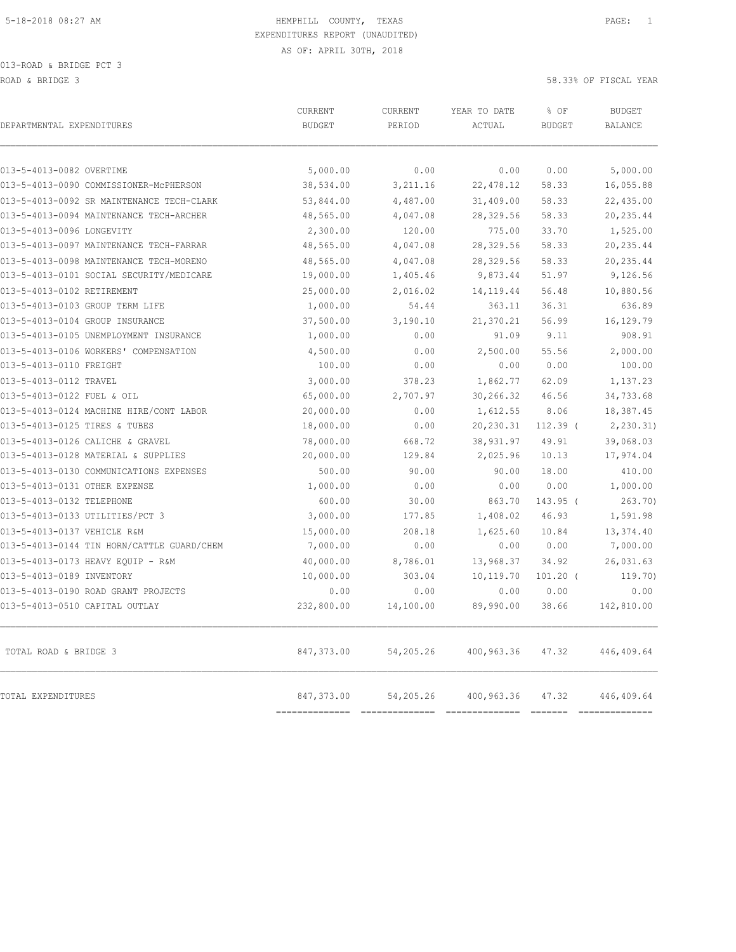| DEPARTMENTAL EXPENDITURES                  | CURRENT<br><b>BUDGET</b> | <b>CURRENT</b><br>PERIOD | YEAR TO DATE<br>ACTUAL | % OF<br><b>BUDGET</b> | <b>BUDGET</b><br><b>BALANCE</b> |
|--------------------------------------------|--------------------------|--------------------------|------------------------|-----------------------|---------------------------------|
| 013-5-4013-0082 OVERTIME                   | 5,000.00                 | 0.00                     | 0.00                   | 0.00                  | 5,000.00                        |
| 013-5-4013-0090 COMMISSIONER-MCPHERSON     | 38,534.00                | 3,211.16                 | 22, 478.12             | 58.33                 | 16,055.88                       |
| 013-5-4013-0092 SR MAINTENANCE TECH-CLARK  | 53,844.00                | 4,487.00                 | 31,409.00              | 58.33                 | 22,435.00                       |
| 013-5-4013-0094 MAINTENANCE TECH-ARCHER    | 48,565.00                | 4,047.08                 | 28,329.56              | 58.33                 | 20, 235.44                      |
| 013-5-4013-0096 LONGEVITY                  | 2,300.00                 | 120.00                   | 775.00                 | 33.70                 | 1,525.00                        |
| 013-5-4013-0097 MAINTENANCE TECH-FARRAR    | 48,565.00                | 4,047.08                 | 28,329.56              | 58.33                 | 20, 235.44                      |
| 013-5-4013-0098 MAINTENANCE TECH-MORENO    | 48,565.00                | 4,047.08                 | 28,329.56              | 58.33                 | 20, 235.44                      |
| 013-5-4013-0101 SOCIAL SECURITY/MEDICARE   | 19,000.00                | 1,405.46                 | 9,873.44               | 51.97                 | 9,126.56                        |
| 013-5-4013-0102 RETIREMENT                 | 25,000.00                | 2,016.02                 | 14, 119.44             | 56.48                 | 10,880.56                       |
| 013-5-4013-0103 GROUP TERM LIFE            | 1,000.00                 | 54.44                    | 363.11                 | 36.31                 | 636.89                          |
| 013-5-4013-0104 GROUP INSURANCE            | 37,500.00                | 3,190.10                 | 21,370.21              | 56.99                 | 16,129.79                       |
| 013-5-4013-0105 UNEMPLOYMENT INSURANCE     | 1,000.00                 | 0.00                     | 91.09                  | 9.11                  | 908.91                          |
| 013-5-4013-0106 WORKERS' COMPENSATION      | 4,500.00                 | 0.00                     | 2,500.00               | 55.56                 | 2,000.00                        |
| 013-5-4013-0110 FREIGHT                    | 100.00                   | 0.00                     | 0.00                   | 0.00                  | 100.00                          |
| 013-5-4013-0112 TRAVEL                     | 3,000.00                 | 378.23                   | 1,862.77               | 62.09                 | 1,137.23                        |
| 013-5-4013-0122 FUEL & OIL                 | 65,000.00                | 2,707.97                 | 30,266.32              | 46.56                 | 34,733.68                       |
| 013-5-4013-0124 MACHINE HIRE/CONT LABOR    | 20,000.00                | 0.00                     | 1,612.55               | 8.06                  | 18,387.45                       |
| 013-5-4013-0125 TIRES & TUBES              | 18,000.00                | 0.00                     | 20,230.31              | $112.39$ (            | 2, 230.31                       |
| 013-5-4013-0126 CALICHE & GRAVEL           | 78,000.00                | 668.72                   | 38,931.97              | 49.91                 | 39,068.03                       |
| 013-5-4013-0128 MATERIAL & SUPPLIES        | 20,000.00                | 129.84                   | 2,025.96               | 10.13                 | 17,974.04                       |
| 013-5-4013-0130 COMMUNICATIONS EXPENSES    | 500.00                   | 90.00                    | 90.00                  | 18.00                 | 410.00                          |
| 013-5-4013-0131 OTHER EXPENSE              | 1,000.00                 | 0.00                     | 0.00                   | 0.00                  | 1,000.00                        |
| 013-5-4013-0132 TELEPHONE                  | 600.00                   | 30.00                    | 863.70                 | 143.95 (              | 263.70                          |
| 013-5-4013-0133 UTILITIES/PCT 3            | 3,000.00                 | 177.85                   | 1,408.02               | 46.93                 | 1,591.98                        |
| 013-5-4013-0137 VEHICLE R&M                | 15,000.00                | 208.18                   | 1,625.60               | 10.84                 | 13, 374.40                      |
| 013-5-4013-0144 TIN HORN/CATTLE GUARD/CHEM | 7,000.00                 | 0.00                     | 0.00                   | 0.00                  | 7,000.00                        |
| 013-5-4013-0173 HEAVY EQUIP - R&M          | 40,000.00                | 8,786.01                 | 13,968.37              | 34.92                 | 26,031.63                       |
| 013-5-4013-0189 INVENTORY                  | 10,000.00                | 303.04                   | 10,119.70              | $101.20$ (            | 119.70)                         |
| 013-5-4013-0190 ROAD GRANT PROJECTS        | 0.00                     | 0.00                     | 0.00                   | 0.00                  | 0.00                            |
| 013-5-4013-0510 CAPITAL OUTLAY             | 232,800.00               | 14,100.00                | 89,990.00              | 38.66                 | 142,810.00                      |
| TOTAL ROAD & BRIDGE 3                      | 847,373.00               | 54,205.26                | 400,963.36             | 47.32                 | 446,409.64                      |
| TOTAL EXPENDITURES                         | 847,373.00               | 54,205.26                | 400,963.36             | 47.32                 | 446,409.64                      |

============== ============== ============== ======= ==============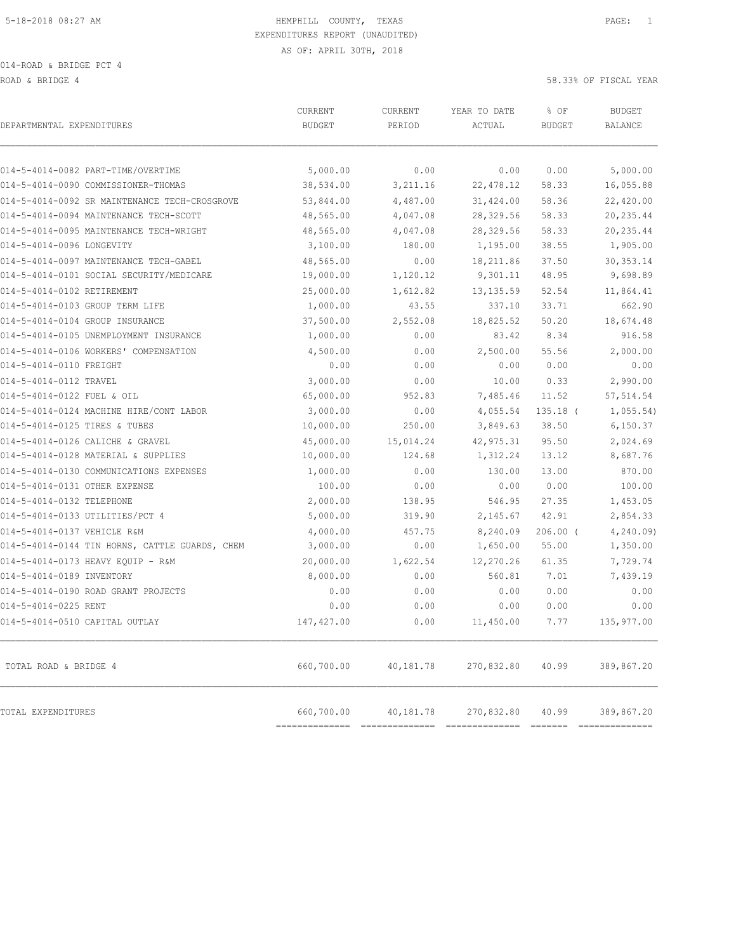ROAD & BRIDGE 4 58.33% OF FISCAL YEAR (1999) AND HOT SERVICE A SERVICE A SERVICE A SERVICE A SERVICE A SERVICE A

| DEPARTMENTAL EXPENDITURES                      | CURRENT<br><b>BUDGET</b>     | CURRENT<br>PERIOD           | YEAR TO DATE<br>ACTUAL             | % OF<br><b>BUDGET</b> | <b>BUDGET</b><br>BALANCE     |
|------------------------------------------------|------------------------------|-----------------------------|------------------------------------|-----------------------|------------------------------|
| 014-5-4014-0082 PART-TIME/OVERTIME             | 5,000.00                     | 0.00                        | 0.00                               | 0.00                  | 5,000.00                     |
| 014-5-4014-0090 COMMISSIONER-THOMAS            | 38,534.00                    | 3,211.16                    | 22, 478.12                         | 58.33                 | 16,055.88                    |
| 014-5-4014-0092 SR MAINTENANCE TECH-CROSGROVE  | 53,844.00                    | 4,487.00                    | 31,424.00                          | 58.36                 | 22,420.00                    |
| 014-5-4014-0094 MAINTENANCE TECH-SCOTT         | 48,565.00                    | 4,047.08                    | 28,329.56                          | 58.33                 | 20, 235.44                   |
| 014-5-4014-0095 MAINTENANCE TECH-WRIGHT        | 48,565.00                    | 4,047.08                    | 28,329.56                          | 58.33                 | 20,235.44                    |
| 014-5-4014-0096 LONGEVITY                      | 3,100.00                     | 180.00                      | 1,195.00                           | 38.55                 | 1,905.00                     |
| 014-5-4014-0097 MAINTENANCE TECH-GABEL         | 48,565.00                    | 0.00                        | 18,211.86                          | 37.50                 | 30, 353.14                   |
| 014-5-4014-0101 SOCIAL SECURITY/MEDICARE       | 19,000.00                    | 1,120.12                    | 9,301.11                           | 48.95                 | 9,698.89                     |
| 014-5-4014-0102 RETIREMENT                     | 25,000.00                    | 1,612.82                    | 13, 135.59                         | 52.54                 | 11,864.41                    |
| 014-5-4014-0103 GROUP TERM LIFE                | 1,000.00                     | 43.55                       | 337.10                             | 33.71                 | 662.90                       |
| 014-5-4014-0104 GROUP INSURANCE                | 37,500.00                    | 2,552.08                    | 18,825.52                          | 50.20                 | 18,674.48                    |
| 014-5-4014-0105 UNEMPLOYMENT INSURANCE         | 1,000.00                     | 0.00                        | 83.42                              | 8.34                  | 916.58                       |
| 014-5-4014-0106 WORKERS' COMPENSATION          | 4,500.00                     | 0.00                        | 2,500.00                           | 55.56                 | 2,000.00                     |
| 014-5-4014-0110 FREIGHT                        | 0.00                         | 0.00                        | 0.00                               | 0.00                  | 0.00                         |
| 014-5-4014-0112 TRAVEL                         | 3,000.00                     | 0.00                        | 10.00                              | 0.33                  | 2,990.00                     |
| 014-5-4014-0122 FUEL & OIL                     | 65,000.00                    | 952.83                      | 7,485.46                           | 11.52                 | 57, 514.54                   |
| 014-5-4014-0124 MACHINE HIRE/CONT LABOR        | 3,000.00                     | 0.00                        | 4,055.54                           | $135.18$ (            | 1,055.54)                    |
| 014-5-4014-0125 TIRES & TUBES                  | 10,000.00                    | 250.00                      | 3,849.63                           | 38.50                 | 6, 150.37                    |
| 014-5-4014-0126 CALICHE & GRAVEL               | 45,000.00                    | 15,014.24                   | 42, 975.31                         | 95.50                 | 2,024.69                     |
| 014-5-4014-0128 MATERIAL & SUPPLIES            | 10,000.00                    | 124.68                      | 1,312.24                           | 13.12                 | 8,687.76                     |
| 014-5-4014-0130 COMMUNICATIONS EXPENSES        | 1,000.00                     | 0.00                        | 130.00                             | 13.00                 | 870.00                       |
| 014-5-4014-0131 OTHER EXPENSE                  | 100.00                       | 0.00                        | 0.00                               | 0.00                  | 100.00                       |
| 014-5-4014-0132 TELEPHONE                      | 2,000.00                     | 138.95                      | 546.95                             | 27.35                 | 1,453.05                     |
| 014-5-4014-0133 UTILITIES/PCT 4                | 5,000.00                     | 319.90                      | 2,145.67                           | 42.91                 | 2,854.33                     |
| 014-5-4014-0137 VEHICLE R&M                    | 4,000.00                     | 457.75                      | 8,240.09                           | $206.00$ (            | 4, 240.09                    |
| 014-5-4014-0144 TIN HORNS, CATTLE GUARDS, CHEM | 3,000.00                     | 0.00                        | 1,650.00                           | 55.00                 | 1,350.00                     |
| 014-5-4014-0173 HEAVY EQUIP - R&M              | 20,000.00                    | 1,622.54                    | 12,270.26                          | 61.35                 | 7,729.74                     |
| 014-5-4014-0189 INVENTORY                      | 8,000.00                     | 0.00                        | 560.81                             | 7.01                  | 7,439.19                     |
| 014-5-4014-0190 ROAD GRANT PROJECTS            | 0.00                         | 0.00                        | 0.00                               | 0.00                  | 0.00                         |
| 014-5-4014-0225 RENT                           | 0.00                         | 0.00                        | 0.00                               | 0.00                  | 0.00                         |
| 014-5-4014-0510 CAPITAL OUTLAY                 | 147,427.00                   | 0.00                        | 11,450.00                          | 7.77                  | 135,977.00                   |
| TOTAL ROAD & BRIDGE 4                          | 660,700.00                   | 40,181.78                   | 270,832.80                         | 40.99                 | 389,867.20                   |
| TOTAL EXPENDITURES                             | 660,700.00<br>============== | 40,181.78<br>============== | 270,832.80<br>FEEDERSTERSEE ERSEER | 40.99                 | 389,867.20<br>-------------- |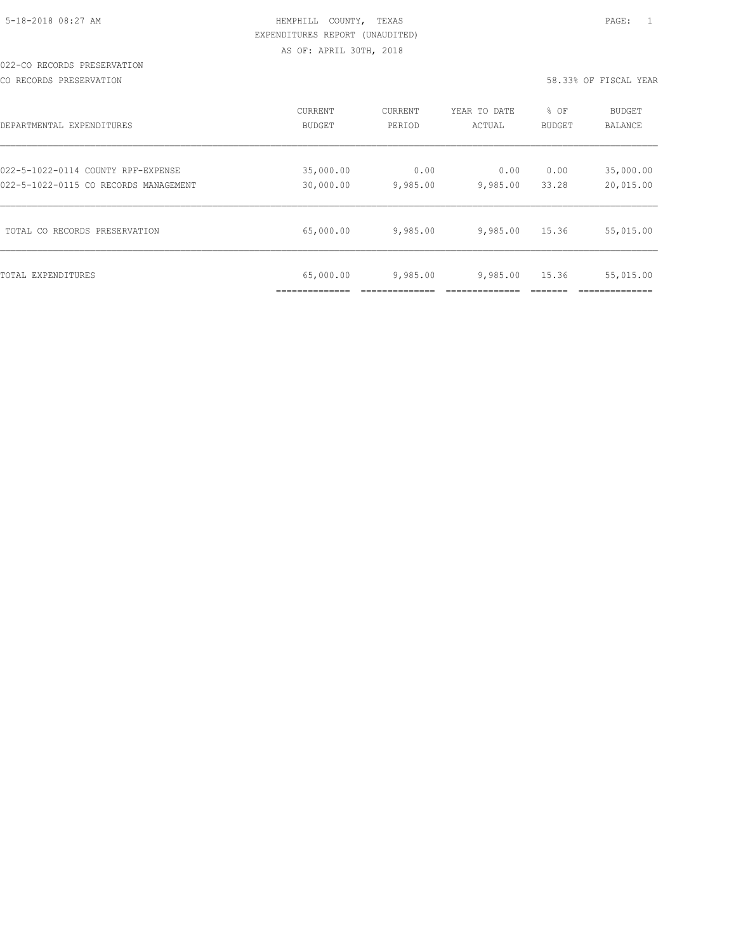#### 022-CO RECORDS PRESERVATION

CO RECORDS PRESERVATION 58.33% OF FISCAL YEAR

| DEPARTMENTAL EXPENDITURES             | <b>CURRENT</b> | CURRENT  | YEAR TO DATE | % OF   | <b>BUDGET</b> |
|---------------------------------------|----------------|----------|--------------|--------|---------------|
|                                       | BUDGET         | PERIOD   | ACTUAL       | BUDGET | BALANCE       |
| 022-5-1022-0114 COUNTY RPF-EXPENSE    | 35,000.00      | 0.00     | 0.00         | 0.00   | 35,000.00     |
| 022-5-1022-0115 CO RECORDS MANAGEMENT | 30,000.00      | 9,985.00 | 9,985.00     | 33.28  | 20,015.00     |
| TOTAL CO RECORDS PRESERVATION         | 65,000.00      | 9,985.00 | 9,985.00     | 15.36  | 55,015.00     |
| TOTAL EXPENDITURES                    | 65,000.00      | 9,985.00 | 9,985.00     | 15.36  | 55,015.00     |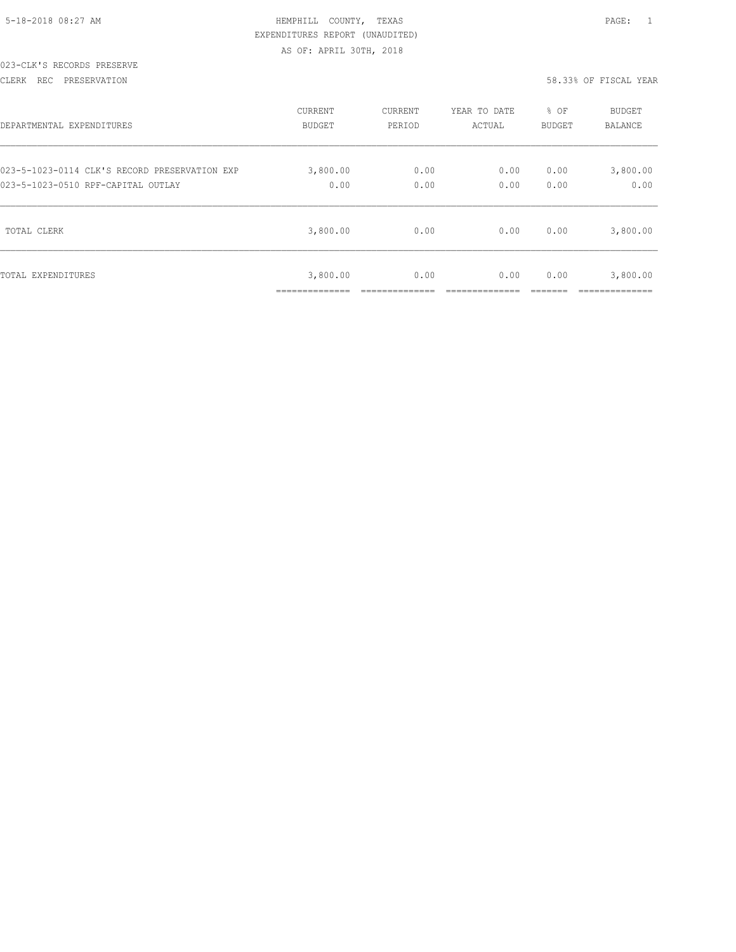|  | 5-18-2018 08:27 AM |  |
|--|--------------------|--|

### HEMPHILL COUNTY, TEXAS **Example 20:27 AM HEMPHILL** COUNTY, TEXAS EXPENDITURES REPORT (UNAUDITED) AS OF: APRIL 30TH, 2018

### 023-CLK'S RECORDS PRESERVE

#### CLERK REC PRESERVATION 58.33% OF FISCAL YEAR

| DEPARTMENTAL EXPENDITURES                     | CURRENT                    | CURRENT | YEAR TO DATE | % OF   | BUDGET                  |
|-----------------------------------------------|----------------------------|---------|--------------|--------|-------------------------|
|                                               | BUDGET                     | PERIOD  | ACTUAL       | BUDGET | BALANCE                 |
| 023-5-1023-0114 CLK'S RECORD PRESERVATION EXP | 3,800.00                   | 0.00    | 0.00         | 0.00   | 3,800.00                |
| 023-5-1023-0510 RPF-CAPITAL OUTLAY            | 0.00                       | 0.00    | 0.00         | 0.00   | 0.00                    |
| TOTAL CLERK                                   | 3,800.00                   | 0.00    | 0.00         | 0.00   | 3,800.00                |
| TOTAL EXPENDITURES                            | 3,800.00<br>______________ | 0.00    | 0.00         | 0.00   | 3,800.00<br>___________ |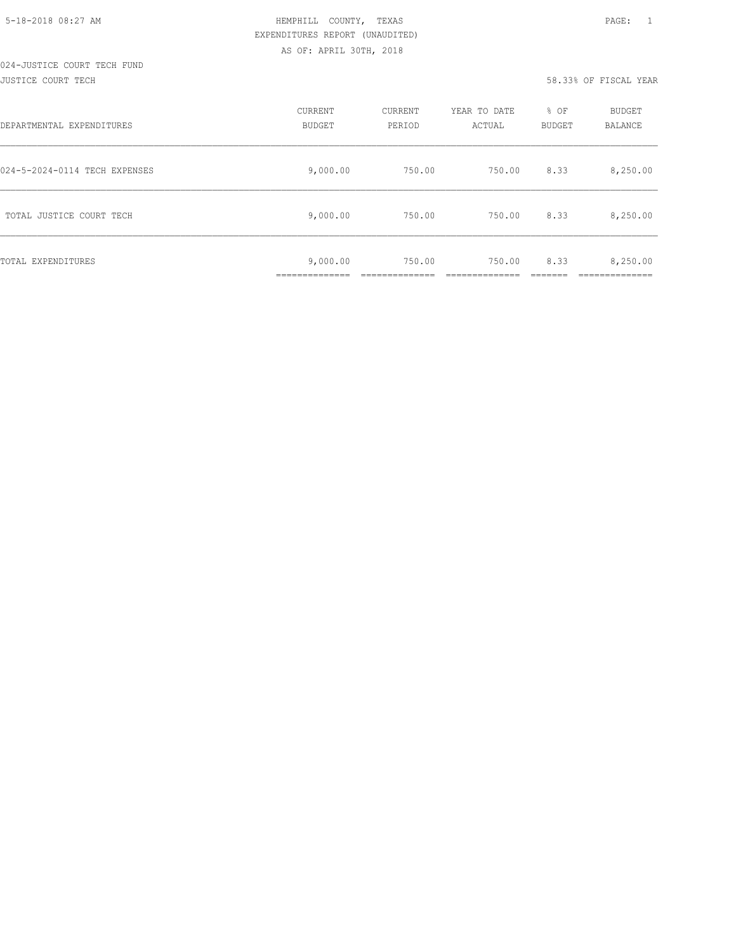#### 024-JUSTICE COURT TECH FUND JUSTICE COURT TECH 58.33% OF FISCAL YEAR

| DEPARTMENTAL EXPENDITURES     | <b>CURRENT</b><br><b>BUDGET</b> | CURRENT<br>PERIOD | YEAR TO DATE<br>ACTUAL | % OF<br><b>BUDGET</b> | <b>BUDGET</b><br>BALANCE |
|-------------------------------|---------------------------------|-------------------|------------------------|-----------------------|--------------------------|
| 024-5-2024-0114 TECH EXPENSES | 9,000.00                        | 750.00            | 750.00                 | 8.33                  | 8,250.00                 |
| TOTAL JUSTICE COURT TECH      | 9,000.00                        | 750.00            | 750.00                 | 8.33                  | 8,250.00                 |
| TOTAL EXPENDITURES            | 9,000.00<br>___________         | 750.00            | 750.00                 | 8.33                  | 8,250.00                 |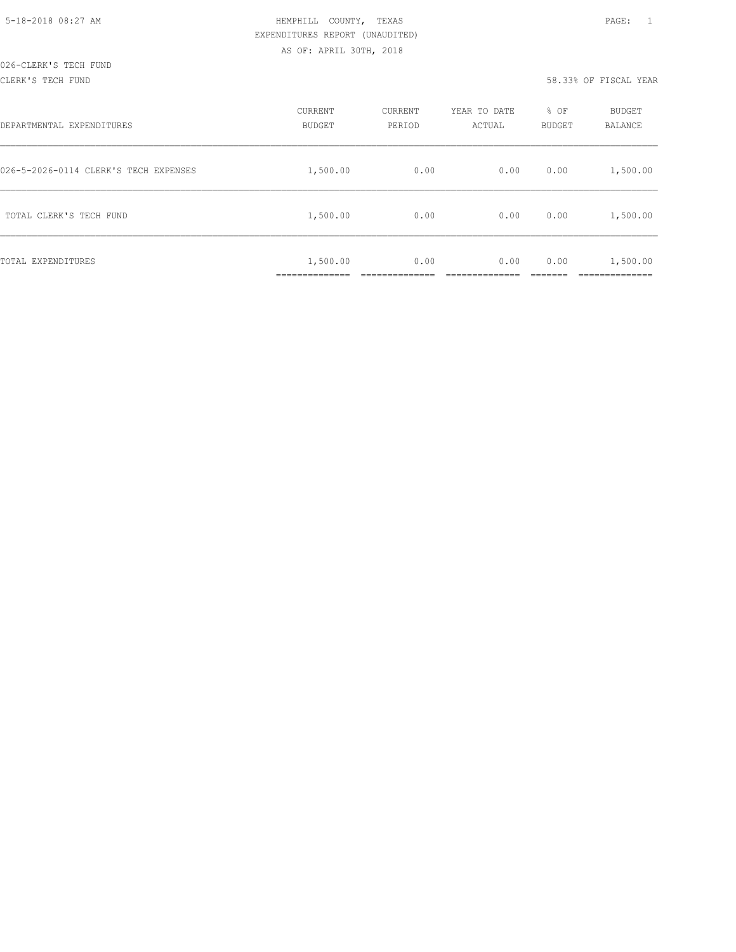#### CLERK'S TECH FUND 58.33% OF FISCAL YEAR

| DEPARTMENTAL EXPENDITURES             | CURRENT<br><b>BUDGET</b>  | CURRENT<br>PERIOD | YEAR TO DATE<br>ACTUAL | % OF<br>BUDGET | BUDGET<br>BALANCE    |
|---------------------------------------|---------------------------|-------------------|------------------------|----------------|----------------------|
| 026-5-2026-0114 CLERK'S TECH EXPENSES | 1,500.00                  | 0.00              | 0.00                   | 0.00           | 1,500.00             |
| TOTAL CLERK'S TECH FUND               | 1,500.00                  | 0.00              | 0.00                   | 0.00           | 1,500.00             |
| TOTAL EXPENDITURES                    | 1,500.00<br>_____________ | 0.00              | 0.00                   | 0.00           | 1,500.00<br>________ |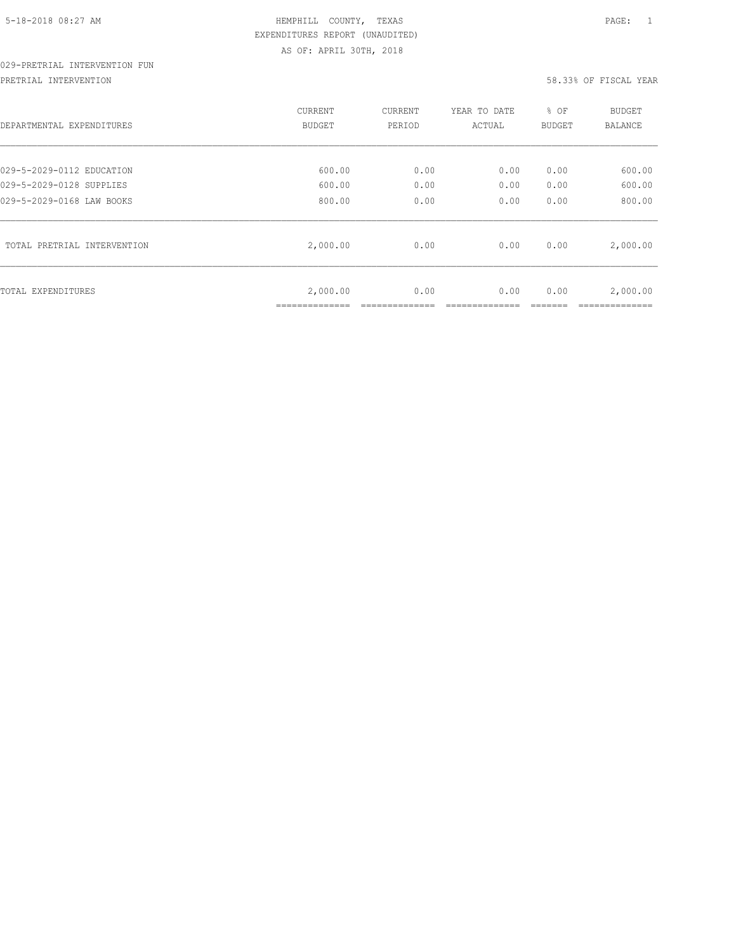# 029-PRETRIAL INTERVENTION FUN

PRETRIAL INTERVENTION 58.33% OF FISCAL YEAR

| DEPARTMENTAL EXPENDITURES   | CURRENT  | CURRENT | YEAR TO DATE | % OF   | BUDGET   |
|-----------------------------|----------|---------|--------------|--------|----------|
|                             | BUDGET   | PERIOD  | ACTUAL       | BUDGET | BALANCE  |
| 029-5-2029-0112 EDUCATION   | 600.00   | 0.00    | 0.00         | 0.00   | 600.00   |
| 029-5-2029-0128 SUPPLIES    | 600.00   | 0.00    | 0.00         | 0.00   | 600.00   |
| 029-5-2029-0168 LAW BOOKS   | 800.00   | 0.00    | 0.00         | 0.00   | 800.00   |
| TOTAL PRETRIAL INTERVENTION | 2,000.00 | 0.00    | 0.00         | 0.00   | 2,000.00 |
| TOTAL EXPENDITURES          | 2,000.00 | 0.00    | 0.00         | 0.00   | 2,000.00 |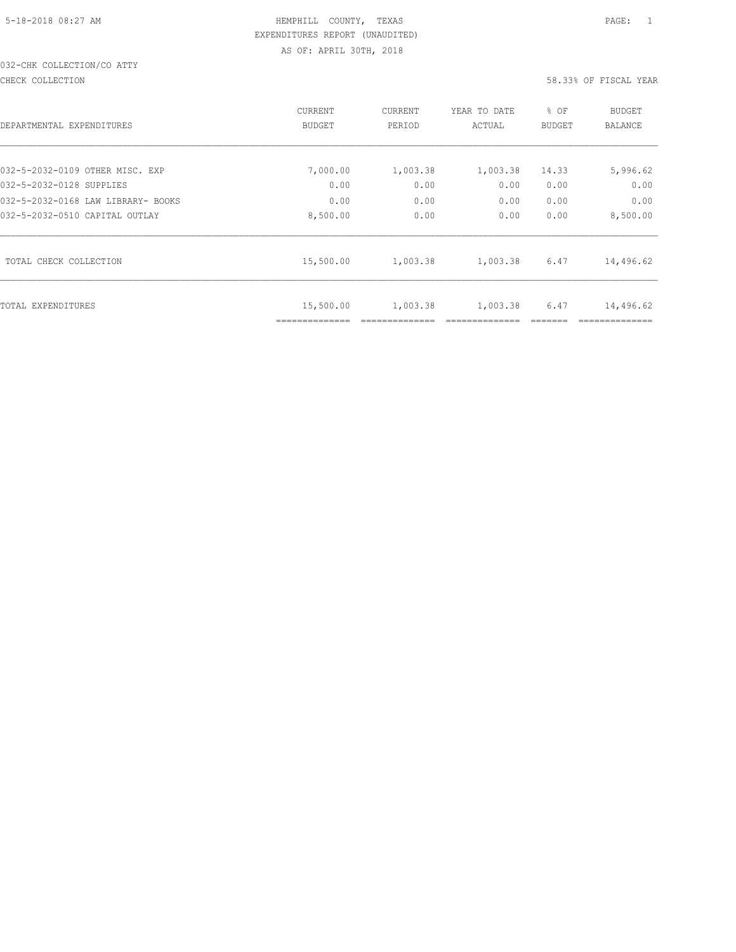## 032-CHK COLLECTION/CO ATTY

#### CHECK COLLECTION 58.33% OF FISCAL YEAR

|                                    | CURRENT        | <b>CURRENT</b> | YEAR TO DATE | % OF          | <b>BUDGET</b> |
|------------------------------------|----------------|----------------|--------------|---------------|---------------|
| DEPARTMENTAL EXPENDITURES          | BUDGET         | PERIOD         | ACTUAL       | <b>BUDGET</b> | BALANCE       |
|                                    |                |                |              |               |               |
| 032-5-2032-0109 OTHER MISC. EXP    | 7,000.00       | 1,003.38       | 1,003.38     | 14.33         | 5,996.62      |
| 032-5-2032-0128 SUPPLIES           | 0.00           | 0.00           | 0.00         | 0.00          | 0.00          |
| 032-5-2032-0168 LAW LIBRARY- BOOKS | 0.00           | 0.00           | 0.00         | 0.00          | 0.00          |
| 032-5-2032-0510 CAPITAL OUTLAY     | 8,500.00       | 0.00           | 0.00         | 0.00          | 8,500.00      |
| TOTAL CHECK COLLECTION             | 15,500.00      | 1,003.38       | 1,003.38     | 6.47          | 14,496.62     |
|                                    |                |                |              |               |               |
|                                    |                |                |              |               |               |
| TOTAL EXPENDITURES                 | 15,500.00      | 1,003.38       | 1,003.38     | 6.47          | 14,496.62     |
|                                    | ============== |                |              |               |               |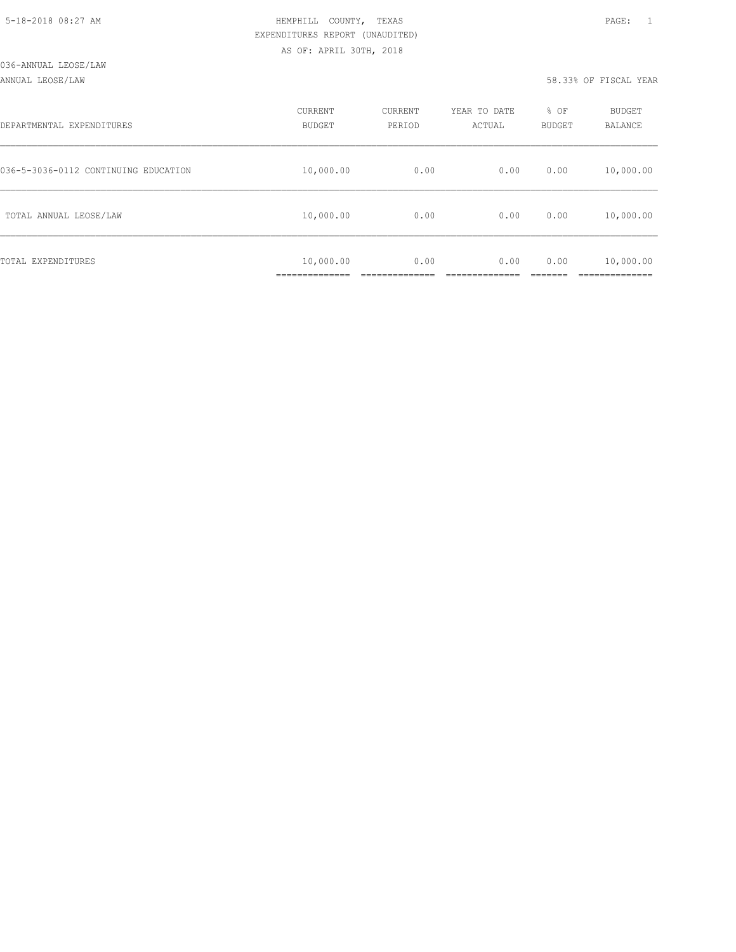#### ANNUAL LEOSE/LAW 58.33% OF FISCAL YEAR

| DEPARTMENTAL EXPENDITURES            | CURRENT<br>BUDGET | CURRENT<br>PERIOD | YEAR TO DATE<br>ACTUAL | % OF<br>BUDGET | <b>BUDGET</b><br><b>BALANCE</b> |
|--------------------------------------|-------------------|-------------------|------------------------|----------------|---------------------------------|
| 036-5-3036-0112 CONTINUING EDUCATION | 10,000.00         | 0.00              | 0.00                   | 0.00           | 10,000.00                       |
| TOTAL ANNUAL LEOSE/LAW               | 10,000.00         | 0.00              | 0.00                   | 0.00           | 10,000.00                       |
| TOTAL EXPENDITURES                   | 10,000.00         | 0.00              | 0.00                   | 0.00           | 10,000.00<br>__________         |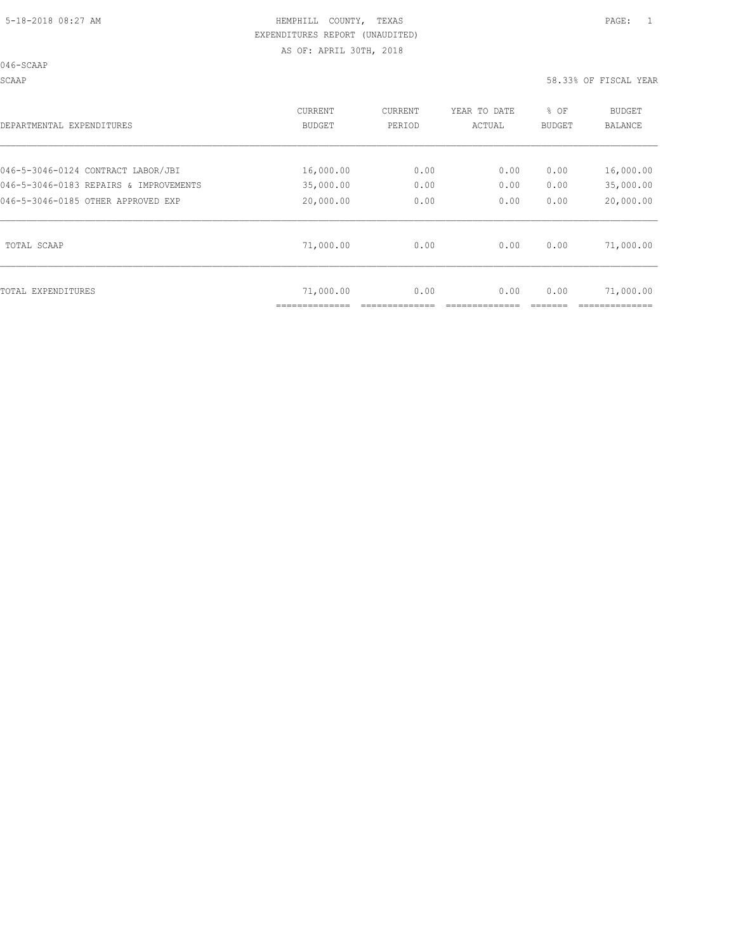046-SCAAP

SCAAP 58.33% OF FISCAL YEAR

| DEPARTMENTAL EXPENDITURES                                                    | CURRENT<br>BUDGET      | CURRENT<br>PERIOD | YEAR TO DATE<br>ACTUAL | % OF<br><b>BUDGET</b> | BUDGET<br>BALANCE      |
|------------------------------------------------------------------------------|------------------------|-------------------|------------------------|-----------------------|------------------------|
| 046-5-3046-0124 CONTRACT LABOR/JBI<br>046-5-3046-0183 REPAIRS & IMPROVEMENTS | 16,000.00<br>35,000.00 | 0.00<br>0.00      | 0.00<br>0.00           | 0.00<br>0.00          | 16,000.00<br>35,000.00 |
| 046-5-3046-0185 OTHER APPROVED EXP                                           | 20,000.00              | 0.00              | 0.00                   | 0.00                  | 20,000.00              |
| TOTAL SCAAP                                                                  | 71,000.00              | 0.00              | 0.00                   | 0.00                  | 71,000.00              |
| TOTAL EXPENDITURES                                                           | 71,000.00              | 0.00              | 0.00                   | 0.00                  | 71,000.00              |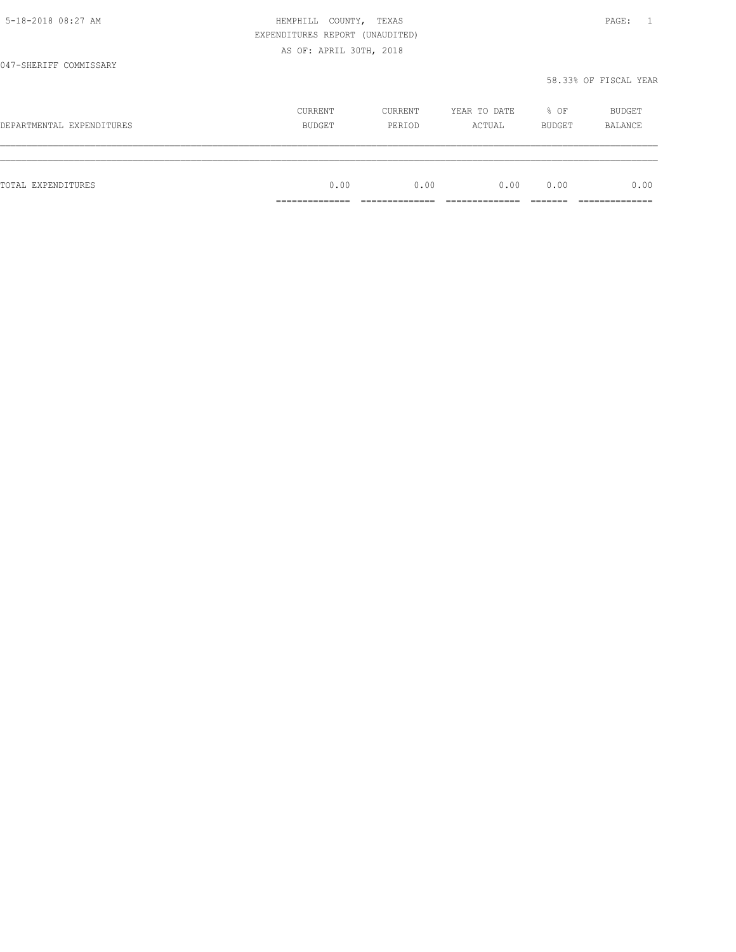|                           | EXPENDITURES REPORT (UNAUDITED) |         |              |        |                       |
|---------------------------|---------------------------------|---------|--------------|--------|-----------------------|
|                           | AS OF: APRIL 30TH, 2018         |         |              |        |                       |
| 047-SHERIFF COMMISSARY    |                                 |         |              |        |                       |
|                           |                                 |         |              |        | 58.33% OF FISCAL YEAR |
|                           | CURRENT                         | CURRENT | YEAR TO DATE | % OF   | BUDGET                |
| DEPARTMENTAL EXPENDITURES | <b>BUDGET</b>                   | PERIOD  | ACTUAL       | BUDGET | BALANCE               |
|                           |                                 |         |              |        |                       |
| TOTAL EXPENDITURES        | 0.00                            | 0.00    | 0.00         | 0.00   | 0.00                  |
|                           | _____________<br>-------------  |         |              |        | __________            |

5-18-2018 08:27 AM HEMPHILL COUNTY, TEXAS PAGE: 1